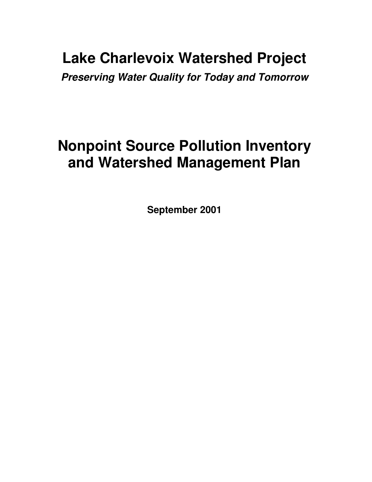## **Lake Charlevoix Watershed Project**

*Preserving Water Quality for Today and Tomorrow*

# **Nonpoint Source Pollution Inventory and Watershed Management Plan**

**September 2001**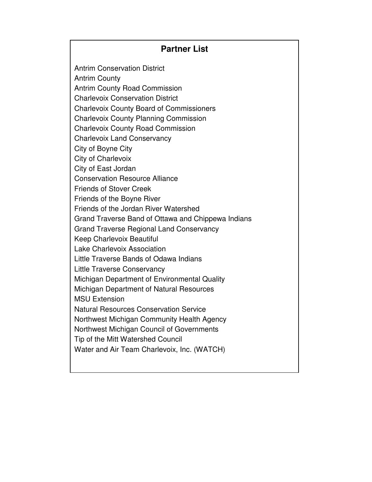### **Partner List**

Antrim Conservation District Antrim County Antrim County Road Commission Charlevoix Conservation District Charlevoix County Board of Commissioners Charlevoix County Planning Commission Charlevoix County Road Commission Charlevoix Land Conservancy City of Boyne City City of Charlevoix City of East Jordan Conservation Resource Alliance Friends of Stover Creek Friends of the Boyne River Friends of the Jordan River Watershed Grand Traverse Band of Ottawa and Chippewa Indians Grand Traverse Regional Land Conservancy Keep Charlevoix Beautiful Lake Charlevoix Association Little Traverse Bands of Odawa Indians Little Traverse Conservancy Michigan Department of Environmental Quality Michigan Department of Natural Resources MSU Extension Natural Resources Conservation Service Northwest Michigan Community Health Agency Northwest Michigan Council of Governments Tip of the Mitt Watershed Council Water and Air Team Charlevoix, Inc. (WATCH)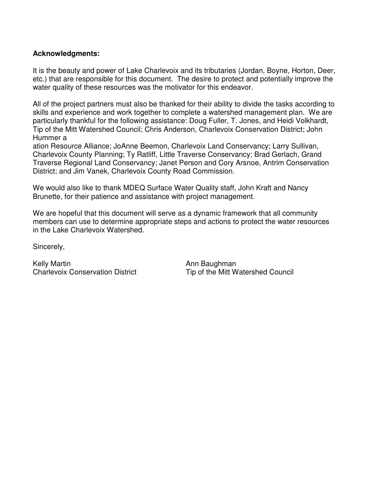### **Acknowledgments:**

It is the beauty and power of Lake Charlevoix and its tributaries (Jordan, Boyne, Horton, Deer, etc.) that are responsible for this document. The desire to protect and potentially improve the water quality of these resources was the motivator for this endeavor.

All of the project partners must also be thanked for their ability to divide the tasks according to skills and experience and work together to complete a watershed management plan. We are particularly thankful for the following assistance: Doug Fuller, T. Jones, and Heidi Volkhardt, Tip of the Mitt Watershed Council; Chris Anderson, Charlevoix Conservation District; John Hummer a

ation Resource Alliance; JoAnne Beemon, Charlevoix Land Conservancy; Larry Sullivan, Charlevoix County Planning; Ty Ratliff, Little Traverse Conservancy; Brad Gerlach, Grand Traverse Regional Land Conservancy; Janet Person and Cory Arsnoe, Antrim Conservation District; and Jim Vanek, Charlevoix County Road Commission.

We would also like to thank MDEQ Surface Water Quality staff, John Kraft and Nancy Brunette, for their patience and assistance with project management.

We are hopeful that this document will serve as a dynamic framework that all community members can use to determine appropriate steps and actions to protect the water resources in the Lake Charlevoix Watershed.

Sincerely,

Kelly Martin<br>Charlevoix Conservation District **Ann Baughman**<br>Tip of the Mitt W

Tip of the Mitt Watershed Council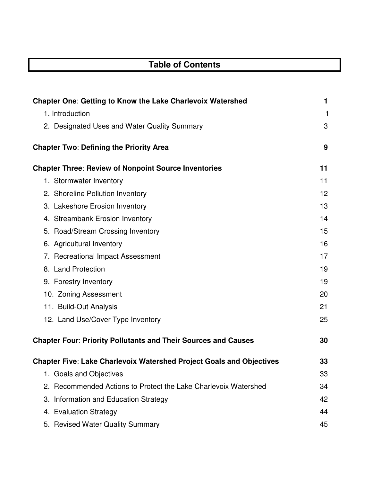## **Table of Contents**

| <b>Chapter One: Getting to Know the Lake Charlevoix Watershed</b>           | 1  |
|-----------------------------------------------------------------------------|----|
| 1. Introduction                                                             | 1  |
| 2. Designated Uses and Water Quality Summary                                | 3  |
| <b>Chapter Two: Defining the Priority Area</b>                              | 9  |
| <b>Chapter Three: Review of Nonpoint Source Inventories</b>                 | 11 |
| 1. Stormwater Inventory                                                     | 11 |
| 2. Shoreline Pollution Inventory                                            | 12 |
| 3. Lakeshore Erosion Inventory                                              | 13 |
| 4. Streambank Erosion Inventory                                             | 14 |
| 5. Road/Stream Crossing Inventory                                           | 15 |
| 6. Agricultural Inventory                                                   | 16 |
| 7. Recreational Impact Assessment                                           | 17 |
| 8. Land Protection                                                          | 19 |
| 9. Forestry Inventory                                                       | 19 |
| 10. Zoning Assessment                                                       | 20 |
| 11. Build-Out Analysis                                                      | 21 |
| 12. Land Use/Cover Type Inventory                                           | 25 |
| <b>Chapter Four: Priority Pollutants and Their Sources and Causes</b>       | 30 |
| <b>Chapter Five: Lake Charlevoix Watershed Project Goals and Objectives</b> | 33 |
| 1. Goals and Objectives                                                     | 33 |
| 2. Recommended Actions to Protect the Lake Charlevoix Watershed             | 34 |
| Information and Education Strategy<br>3.                                    | 42 |
| 4. Evaluation Strategy                                                      | 44 |
| 5. Revised Water Quality Summary                                            | 45 |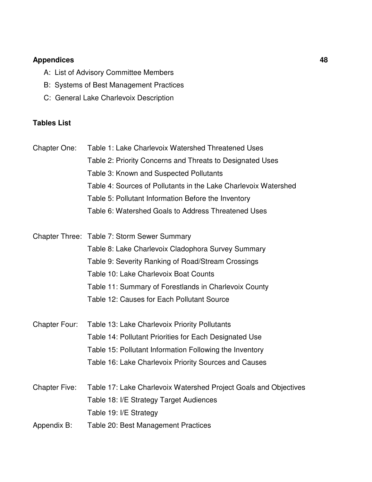### **Appendices 48**

- A: List of Advisory Committee Members
- B: Systems of Best Management Practices
- C: General Lake Charlevoix Description

### **Tables List**

Chapter One: Table 1: Lake Charlevoix Watershed Threatened Uses Table 2: Priority Concerns and Threats to Designated Uses Table 3: Known and Suspected Pollutants Table 4: Sources of Pollutants in the Lake Charlevoix Watershed Table 5: Pollutant Information Before the Inventory Table 6: Watershed Goals to Address Threatened Uses

Chapter Three: Table 7: Storm Sewer Summary Table 8: Lake Charlevoix Cladophora Survey Summary Table 9: Severity Ranking of Road/Stream Crossings Table 10: Lake Charlevoix Boat Counts Table 11: Summary of Forestlands in Charlevoix County Table 12: Causes for Each Pollutant Source

- Chapter Four: Table 13: Lake Charlevoix Priority Pollutants Table 14: Pollutant Priorities for Each Designated Use Table 15: Pollutant Information Following the Inventory Table 16: Lake Charlevoix Priority Sources and Causes
- Chapter Five: Table 17: Lake Charlevoix Watershed Project Goals and Objectives Table 18: I/E Strategy Target Audiences Table 19: I/E Strategy
- Appendix B: Table 20: Best Management Practices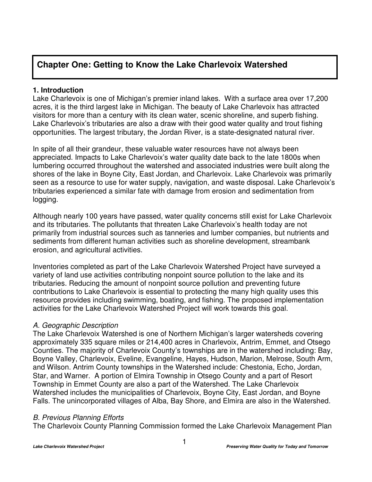### **Chapter One: Getting to Know the Lake Charlevoix Watershed**

### **1. Introduction**

Lake Charlevoix is one of Michigan's premier inland lakes. With a surface area over 17,200 acres, it is the third largest lake in Michigan. The beauty of Lake Charlevoix has attracted visitors for more than a century with its clean water, scenic shoreline, and superb fishing. Lake Charlevoix's tributaries are also a draw with their good water quality and trout fishing opportunities. The largest tributary, the Jordan River, is a state-designated natural river.

In spite of all their grandeur, these valuable water resources have not always been appreciated. Impacts to Lake Charlevoix's water quality date back to the late 1800s when lumbering occurred throughout the watershed and associated industries were built along the shores of the lake in Boyne City, East Jordan, and Charlevoix. Lake Charlevoix was primarily seen as a resource to use for water supply, navigation, and waste disposal. Lake Charlevoix's tributaries experienced a similar fate with damage from erosion and sedimentation from logging.

Although nearly 100 years have passed, water quality concerns still exist for Lake Charlevoix and its tributaries. The pollutants that threaten Lake Charlevoix's health today are not primarily from industrial sources such as tanneries and lumber companies, but nutrients and sediments from different human activities such as shoreline development, streambank erosion, and agricultural activities.

Inventories completed as part of the Lake Charlevoix Watershed Project have surveyed a variety of land use activities contributing nonpoint source pollution to the lake and its tributaries. Reducing the amount of nonpoint source pollution and preventing future contributions to Lake Charlevoix is essential to protecting the many high quality uses this resource provides including swimming, boating, and fishing. The proposed implementation activities for the Lake Charlevoix Watershed Project will work towards this goal.

### *A. Geographic Description*

The Lake Charlevoix Watershed is one of Northern Michigan's larger watersheds covering approximately 335 square miles or 214,400 acres in Charlevoix, Antrim, Emmet, and Otsego Counties. The majority of Charlevoix County's townships are in the watershed including: Bay, Boyne Valley, Charlevoix, Eveline, Evangeline, Hayes, Hudson, Marion, Melrose, South Arm, and Wilson. Antrim County townships in the Watershed include: Chestonia, Echo, Jordan, Star, and Warner. A portion of Elmira Township in Otsego County and a part of Resort Township in Emmet County are also a part of the Watershed. The Lake Charlevoix Watershed includes the municipalities of Charlevoix, Boyne City, East Jordan, and Boyne Falls. The unincorporated villages of Alba, Bay Shore, and Elmira are also in the Watershed.

### *B. Previous Planning Efforts*

The Charlevoix County Planning Commission formed the Lake Charlevoix Management Plan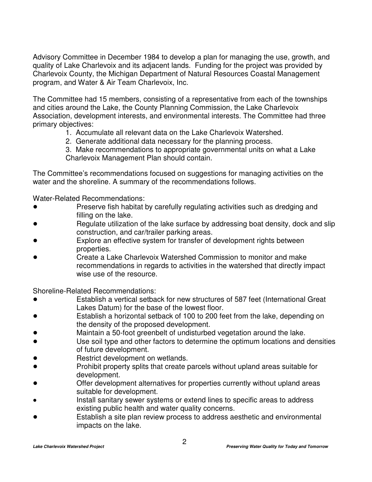Advisory Committee in December 1984 to develop a plan for managing the use, growth, and quality of Lake Charlevoix and its adjacent lands. Funding for the project was provided by Charlevoix County, the Michigan Department of Natural Resources Coastal Management program, and Water & Air Team Charlevoix, Inc.

The Committee had 15 members, consisting of a representative from each of the townships and cities around the Lake, the County Planning Commission, the Lake Charlevoix Association, development interests, and environmental interests. The Committee had three primary objectives:

- 1. Accumulate all relevant data on the Lake Charlevoix Watershed.
- 2. Generate additional data necessary for the planning process.

3. Make recommendations to appropriate governmental units on what a Lake Charlevoix Management Plan should contain.

The Committee's recommendations focused on suggestions for managing activities on the water and the shoreline. A summary of the recommendations follows.

Water-Related Recommendations:

- Preserve fish habitat by carefully regulating activities such as dredging and filling on the lake.
- Regulate utilization of the lake surface by addressing boat density, dock and slip construction, and car/trailer parking areas.
- Explore an effective system for transfer of development rights between properties.
- Create a Lake Charlevoix Watershed Commission to monitor and make recommendations in regards to activities in the watershed that directly impact wise use of the resource.

Shoreline-Related Recommendations:

- Establish a vertical setback for new structures of 587 feet (International Great Lakes Datum) for the base of the lowest floor.
- Establish a horizontal setback of 100 to 200 feet from the lake, depending on the density of the proposed development.
- Maintain a 50-foot greenbelt of undisturbed vegetation around the lake.
- Use soil type and other factors to determine the optimum locations and densities of future development.
- Restrict development on wetlands.
- Prohibit property splits that create parcels without upland areas suitable for development.
- Offer development alternatives for properties currently without upland areas suitable for development.
- Install sanitary sewer systems or extend lines to specific areas to address existing public health and water quality concerns.
- Establish a site plan review process to address aesthetic and environmental impacts on the lake.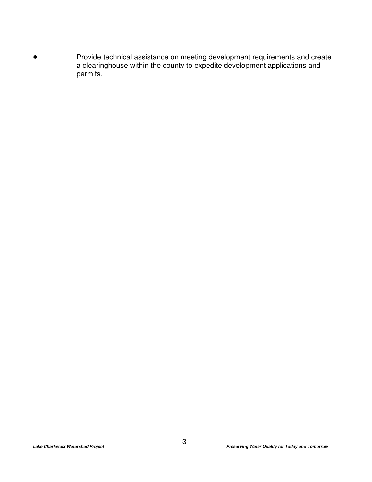Provide technical assistance on meeting development requirements and create a clearinghouse within the county to expedite development applications and permits.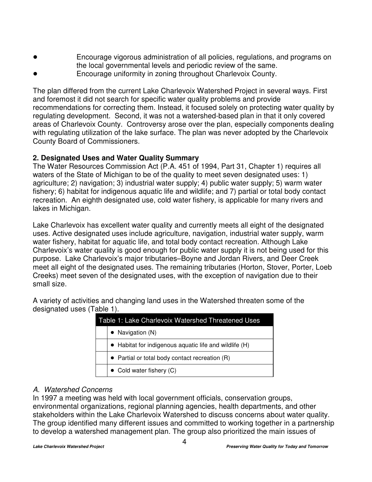- Encourage vigorous administration of all policies, regulations, and programs on the local governmental levels and periodic review of the same.
- Encourage uniformity in zoning throughout Charlevoix County.

The plan differed from the current Lake Charlevoix Watershed Project in several ways. First and foremost it did not search for specific water quality problems and provide recommendations for correcting them. Instead, it focused solely on protecting water quality by regulating development. Second, it was not a watershed-based plan in that it only covered areas of Charlevoix County. Controversy arose over the plan, especially components dealing with regulating utilization of the lake surface. The plan was never adopted by the Charlevoix County Board of Commissioners.

### **2. Designated Uses and Water Quality Summary**

The Water Resources Commission Act (P.A. 451 of 1994, Part 31, Chapter 1) requires all waters of the State of Michigan to be of the quality to meet seven designated uses: 1) agriculture; 2) navigation; 3) industrial water supply; 4) public water supply; 5) warm water fishery; 6) habitat for indigenous aquatic life and wildlife; and 7) partial or total body contact recreation. An eighth designated use, cold water fishery, is applicable for many rivers and lakes in Michigan.

Lake Charlevoix has excellent water quality and currently meets all eight of the designated uses. Active designated uses include agriculture, navigation, industrial water supply, warm water fishery, habitat for aquatic life, and total body contact recreation. Although Lake Charlevoix's water quality is good enough for public water supply it is not being used for this purpose. Lake Charlevoix's major tributaries–Boyne and Jordan Rivers, and Deer Creek meet all eight of the designated uses. The remaining tributaries (Horton, Stover, Porter, Loeb Creeks) meet seven of the designated uses, with the exception of navigation due to their small size.

A variety of activities and changing land uses in the Watershed threaten some of the designated uses (Table 1).

| Table 1: Lake Charlevoix Watershed Threatened Uses     |  |  |
|--------------------------------------------------------|--|--|
| • Navigation $(N)$                                     |  |  |
| • Habitat for indigenous aquatic life and wildlife (H) |  |  |
| • Partial or total body contact recreation $(R)$       |  |  |
| • Cold water fishery $(C)$                             |  |  |

### *A. Watershed Concerns*

In 1997 a meeting was held with local government officials, conservation groups, environmental organizations, regional planning agencies, health departments, and other stakeholders within the Lake Charlevoix Watershed to discuss concerns about water quality. The group identified many different issues and committed to working together in a partnership to develop a watershed management plan. The group also prioritized the main issues of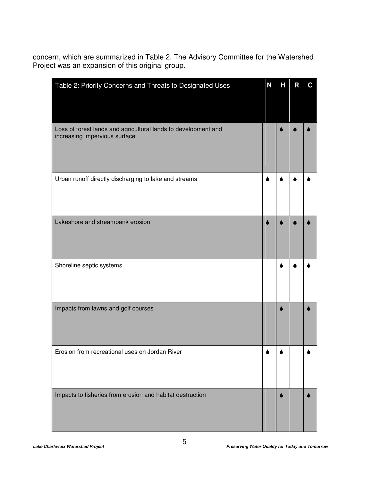concern, which are summarized in Table 2. The Advisory Committee for the Watershed Project was an expansion of this original group.

| Table 2: Priority Concerns and Threats to Designated Uses                                       | N | Н | R | C |
|-------------------------------------------------------------------------------------------------|---|---|---|---|
| Loss of forest lands and agricultural lands to development and<br>increasing impervious surface |   |   |   |   |
| Urban runoff directly discharging to lake and streams                                           |   |   |   |   |
| Lakeshore and streambank erosion                                                                |   |   |   |   |
| Shoreline septic systems                                                                        |   |   |   |   |
| Impacts from lawns and golf courses                                                             |   |   |   |   |
| Erosion from recreational uses on Jordan River                                                  |   |   |   |   |
| Impacts to fisheries from erosion and habitat destruction                                       |   |   |   |   |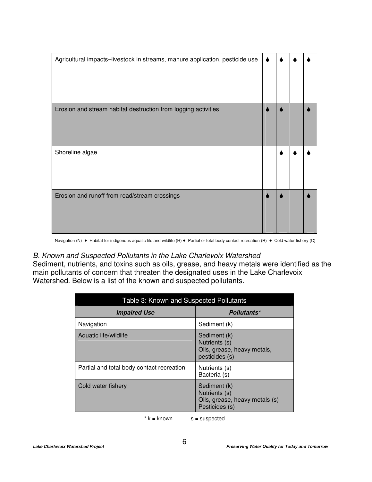| Agricultural impacts-livestock in streams, manure application, pesticide use |  |  |
|------------------------------------------------------------------------------|--|--|
| Erosion and stream habitat destruction from logging activities               |  |  |
| Shoreline algae                                                              |  |  |
| Erosion and runoff from road/stream crossings                                |  |  |

Navigation (N) · Habitat for indigenous aquatic life and wildlife (H) · Partial or total body contact recreation (R) · Cold water fishery (C)

### *B. Known and Suspected Pollutants in the Lake Charlevoix Watershed*

Sediment, nutrients, and toxins such as oils, grease, and heavy metals were identified as the main pollutants of concern that threaten the designated uses in the Lake Charlevoix Watershed. Below is a list of the known and suspected pollutants.

| Table 3: Known and Suspected Pollutants   |                                                                                   |  |
|-------------------------------------------|-----------------------------------------------------------------------------------|--|
| <i><b>Impaired Use</b></i>                | Pollutants*                                                                       |  |
| Navigation                                | Sediment (k)                                                                      |  |
| Aquatic life/wildlife                     | Sediment (k)<br>Nutrients (s)<br>Oils, grease, heavy metals,<br>pesticides (s)    |  |
| Partial and total body contact recreation | Nutrients (s)<br>Bacteria (s)                                                     |  |
| Cold water fishery                        | Sediment (k)<br>Nutrients (s)<br>Oils, grease, heavy metals (s)<br>Pesticides (s) |  |

 $* k =$  known  $s =$  suspected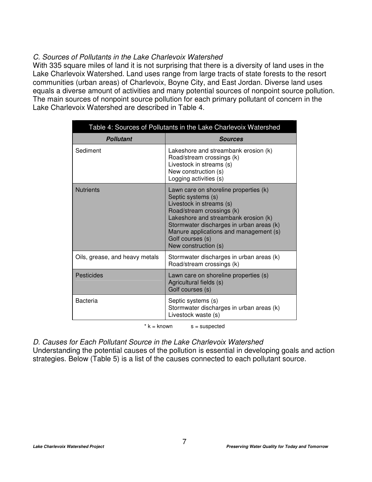### *C. Sources of Pollutants in the Lake Charlevoix Watershed*

With 335 square miles of land it is not surprising that there is a diversity of land uses in the Lake Charlevoix Watershed. Land uses range from large tracts of state forests to the resort communities (urban areas) of Charlevoix, Boyne City, and East Jordan. Diverse land uses equals a diverse amount of activities and many potential sources of nonpoint source pollution. The main sources of nonpoint source pollution for each primary pollutant of concern in the Lake Charlevoix Watershed are described in Table 4.

| Table 4: Sources of Pollutants in the Lake Charlevoix Watershed |                                                                                                                                                                                                                                                                                                |  |
|-----------------------------------------------------------------|------------------------------------------------------------------------------------------------------------------------------------------------------------------------------------------------------------------------------------------------------------------------------------------------|--|
| <b>Pollutant</b>                                                | <b>Sources</b>                                                                                                                                                                                                                                                                                 |  |
| Sediment                                                        | Lakeshore and streambank erosion (k)<br>Road/stream crossings (k)<br>Livestock in streams (s)<br>New construction (s)<br>Logging activities (s)                                                                                                                                                |  |
| <b>Nutrients</b>                                                | Lawn care on shoreline properties (k)<br>Septic systems (s)<br>Livestock in streams (s)<br>Road/stream crossings (k)<br>Lakeshore and streambank erosion (k)<br>Stormwater discharges in urban areas (k)<br>Manure applications and management (s)<br>Golf courses (s)<br>New construction (s) |  |
| Oils, grease, and heavy metals                                  | Stormwater discharges in urban areas (k)<br>Road/stream crossings (k)                                                                                                                                                                                                                          |  |
| Pesticides                                                      | Lawn care on shoreline properties (s)<br>Agricultural fields (s)<br>Golf courses (s)                                                                                                                                                                                                           |  |
| Bacteria                                                        | Septic systems (s)<br>Stormwater discharges in urban areas (k)<br>Livestock waste (s)                                                                                                                                                                                                          |  |

 $* k =$  known  $s =$  suspected

*D. Causes for Each Pollutant Source in the Lake Charlevoix Watershed*

Understanding the potential causes of the pollution is essential in developing goals and action strategies. Below (Table 5) is a list of the causes connected to each pollutant source.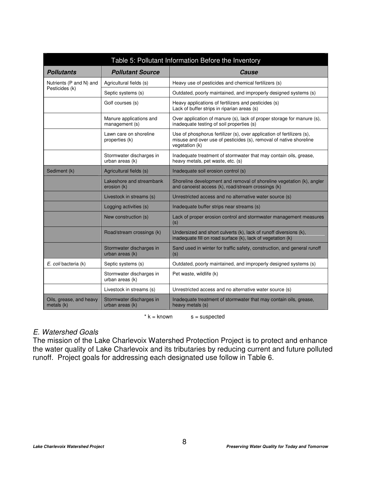| Table 5: Pollutant Information Before the Inventory |                                             |                                                                                                                                                                |  |
|-----------------------------------------------------|---------------------------------------------|----------------------------------------------------------------------------------------------------------------------------------------------------------------|--|
| <b>Pollutants</b>                                   | <b>Pollutant Source</b>                     | Cause                                                                                                                                                          |  |
| Nutrients (P and N) and                             | Agricultural fields (s)                     | Heavy use of pesticides and chemical fertilizers (s)                                                                                                           |  |
| Pesticides (k)                                      | Septic systems (s)                          | Outdated, poorly maintained, and improperly designed systems (s)                                                                                               |  |
|                                                     | Golf courses (s)                            | Heavy applications of fertilizers and pesticides (s)<br>Lack of buffer strips in riparian areas (s)                                                            |  |
|                                                     | Manure applications and<br>management (s)   | Over application of manure (s), lack of proper storage for manure (s),<br>inadequate testing of soil properties (s)                                            |  |
|                                                     | Lawn care on shoreline<br>properties (k)    | Use of phosphorus fertilizer (s), over application of fertilizers (s),<br>misuse and over use of pesticides (s), removal of native shoreline<br>vegetation (k) |  |
|                                                     | Stormwater discharges in<br>urban areas (k) | Inadequate treatment of stormwater that may contain oils, grease,<br>heavy metals, pet waste, etc. (s)                                                         |  |
| Sediment (k)                                        | Agricultural fields (s)                     | Inadequate soil erosion control (s)                                                                                                                            |  |
|                                                     | Lakeshore and streambank<br>erosion (k)     | Shoreline development and removal of shoreline vegetation (k), angler<br>and canoeist access (k), road/stream crossings (k)                                    |  |
|                                                     | Livestock in streams (s)                    | Unrestricted access and no alternative water source (s)                                                                                                        |  |
|                                                     | Logging activities (s)                      | Inadequate buffer strips near streams (s)                                                                                                                      |  |
|                                                     | New construction (s)                        | Lack of proper erosion control and stormwater management measures<br>(s)                                                                                       |  |
|                                                     | Road/stream crossings (k)                   | Undersized and short culverts (k), lack of runoff diversions (k),<br>inadequate fill on road surface (k), lack of vegetation (k)                               |  |
|                                                     | Stormwater discharges in<br>urban areas (k) | Sand used in winter for traffic safety, construction, and general runoff<br>(s)                                                                                |  |
| E. coli bacteria (k)                                | Septic systems (s)                          | Outdated, poorly maintained, and improperly designed systems (s)                                                                                               |  |
|                                                     | Stormwater discharges in<br>urban areas (k) | Pet waste, wildlife (k)                                                                                                                                        |  |
|                                                     | Livestock in streams (s)                    | Unrestricted access and no alternative water source (s)                                                                                                        |  |
| Oils, grease, and heavy<br>metals (k)               | Stormwater discharges in<br>urban areas (k) | Inadequate treatment of stormwater that may contain oils, grease,<br>heavy metals (s)                                                                          |  |

 $* k =$  known  $s =$  suspected

### *E. Watershed Goals*

The mission of the Lake Charlevoix Watershed Protection Project is to protect and enhance the water quality of Lake Charlevoix and its tributaries by reducing current and future polluted runoff. Project goals for addressing each designated use follow in Table 6.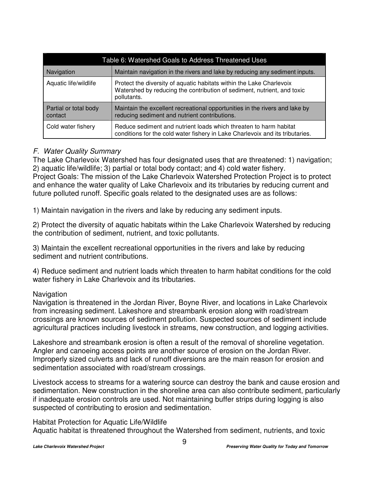| Table 6: Watershed Goals to Address Threatened Uses |                                                                                                                                                                |  |
|-----------------------------------------------------|----------------------------------------------------------------------------------------------------------------------------------------------------------------|--|
| Navigation                                          | Maintain navigation in the rivers and lake by reducing any sediment inputs.                                                                                    |  |
| Aquatic life/wildlife                               | Protect the diversity of aquatic habitats within the Lake Charlevoix<br>Watershed by reducing the contribution of sediment, nutrient, and toxic<br>pollutants. |  |
| Partial or total body<br>contact                    | Maintain the excellent recreational opportunities in the rivers and lake by<br>reducing sediment and nutrient contributions.                                   |  |
| Cold water fishery                                  | Reduce sediment and nutrient loads which threaten to harm habitat<br>conditions for the cold water fishery in Lake Charlevoix and its tributaries.             |  |

### *F. Water Quality Summary*

The Lake Charlevoix Watershed has four designated uses that are threatened: 1) navigation; 2) aquatic life/wildlife; 3) partial or total body contact; and 4) cold water fishery. Project Goals: The mission of the Lake Charlevoix Watershed Protection Project is to protect and enhance the water quality of Lake Charlevoix and its tributaries by reducing current and future polluted runoff. Specific goals related to the designated uses are as follows:

1) Maintain navigation in the rivers and lake by reducing any sediment inputs.

2) Protect the diversity of aquatic habitats within the Lake Charlevoix Watershed by reducing the contribution of sediment, nutrient, and toxic pollutants.

3) Maintain the excellent recreational opportunities in the rivers and lake by reducing sediment and nutrient contributions.

4) Reduce sediment and nutrient loads which threaten to harm habitat conditions for the cold water fishery in Lake Charlevoix and its tributaries.

### Navigation

Navigation is threatened in the Jordan River, Boyne River, and locations in Lake Charlevoix from increasing sediment. Lakeshore and streambank erosion along with road/stream crossings are known sources of sediment pollution. Suspected sources of sediment include agricultural practices including livestock in streams, new construction, and logging activities.

Lakeshore and streambank erosion is often a result of the removal of shoreline vegetation. Angler and canoeing access points are another source of erosion on the Jordan River. Improperly sized culverts and lack of runoff diversions are the main reason for erosion and sedimentation associated with road/stream crossings.

Livestock access to streams for a watering source can destroy the bank and cause erosion and sedimentation. New construction in the shoreline area can also contribute sediment, particularly if inadequate erosion controls are used. Not maintaining buffer strips during logging is also suspected of contributing to erosion and sedimentation.

Habitat Protection for Aquatic Life/Wildlife

Aquatic habitat is threatened throughout the Watershed from sediment, nutrients, and toxic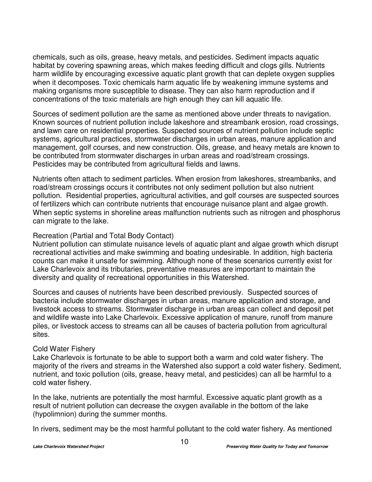chemicals, such as oils, grease, heavy metals, and pesticides. Sediment impacts aquatic habitat by covering spawning areas, which makes feeding difficult and clogs gills. Nutrients harm wildlife by encouraging excessive aquatic plant growth that can deplete oxygen supplies when it decomposes. Toxic chemicals harm aquatic life by weakening immune systems and making organisms more susceptible to disease. They can also harm reproduction and if concentrations of the toxic materials are high enough they can kill aquatic life.

Sources of sediment pollution are the same as mentioned above under threats to navigation. Known sources of nutrient pollution include lakeshore and streambank erosion, road crossings, and lawn care on residential properties. Suspected sources of nutrient pollution include septic systems, agricultural practices, stormwater discharges in urban areas, manure application and management, golf courses, and new construction. Oils, grease, and heavy metals are known to be contributed from stormwater discharges in urban areas and road/stream crossings. Pesticides may be contributed from agricultural fields and lawns.

Nutrients often attach to sediment particles. When erosion from lakeshores, streambanks, and road/stream crossings occurs it contributes not only sediment pollution but also nutrient pollution. Residential properties, agricultural activities, and golf courses are suspected sources of fertilizers which can contribute nutrients that encourage nuisance plant and algae growth. When septic systems in shoreline areas malfunction nutrients such as nitrogen and phosphorus can migrate to the lake.

### Recreation (Partial and Total Body Contact)

Nutrient pollution can stimulate nuisance levels of aquatic plant and algae growth which disrupt recreational activities and make swimming and boating undesirable. In addition, high bacteria counts can make it unsafe for swimming. Although none of these scenarios currently exist for Lake Charlevoix and its tributaries, preventative measures are important to maintain the diversity and quality of recreational opportunities in this Watershed.

Sources and causes of nutrients have been described previously. Suspected sources of bacteria include stormwater discharges in urban areas, manure application and storage, and livestock access to streams. Stormwater discharge in urban areas can collect and deposit pet and wildlife waste into Lake Charlevoix. Excessive application of manure, runoff from manure piles, or livestock access to streams can all be causes of bacteria pollution from agricultural sites.

### Cold Water Fishery

Lake Charlevoix is fortunate to be able to support both a warm and cold water fishery. The majority of the rivers and streams in the Watershed also support a cold water fishery. Sediment, nutrient, and toxic pollution (oils, grease, heavy metal, and pesticides) can all be harmful to a cold water fishery.

In the lake, nutrients are potentially the most harmful. Excessive aquatic plant growth as a result of nutrient pollution can decrease the oxygen available in the bottom of the lake (hypolimnion) during the summer months.

In rivers, sediment may be the most harmful pollutant to the cold water fishery. As mentioned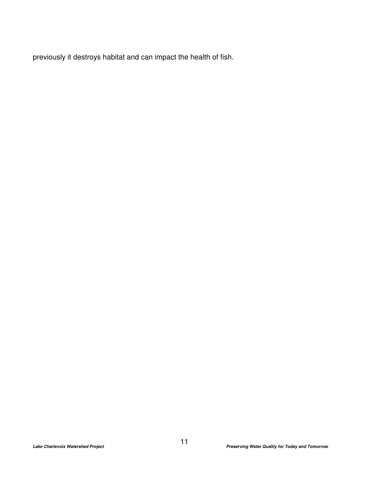previously it destroys habitat and can impact the health of fish.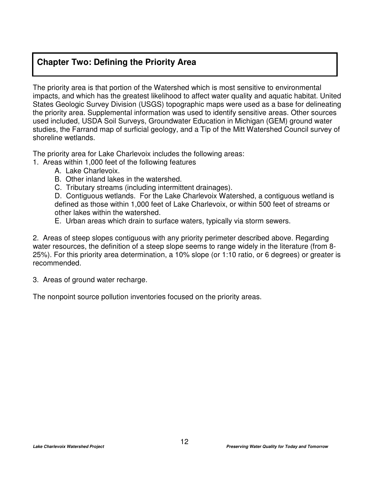### **Chapter Two: Defining the Priority Area**

The priority area is that portion of the Watershed which is most sensitive to environmental impacts, and which has the greatest likelihood to affect water quality and aquatic habitat. United States Geologic Survey Division (USGS) topographic maps were used as a base for delineating the priority area. Supplemental information was used to identify sensitive areas. Other sources used included, USDA Soil Surveys, Groundwater Education in Michigan (GEM) ground water studies, the Farrand map of surficial geology, and a Tip of the Mitt Watershed Council survey of shoreline wetlands.

The priority area for Lake Charlevoix includes the following areas:

- 1. Areas within 1,000 feet of the following features
	- A. Lake Charlevoix.
	- B. Other inland lakes in the watershed.
	- C. Tributary streams (including intermittent drainages).

D. Contiguous wetlands. For the Lake Charlevoix Watershed, a contiguous wetland is defined as those within 1,000 feet of Lake Charlevoix, or within 500 feet of streams or other lakes within the watershed.

E. Urban areas which drain to surface waters, typically via storm sewers.

2. Areas of steep slopes contiguous with any priority perimeter described above. Regarding water resources, the definition of a steep slope seems to range widely in the literature (from 8- 25%). For this priority area determination, a 10% slope (or 1:10 ratio, or 6 degrees) or greater is recommended.

3. Areas of ground water recharge.

The nonpoint source pollution inventories focused on the priority areas.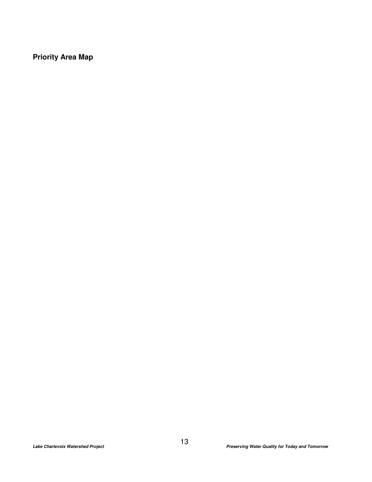**Priority Area Map**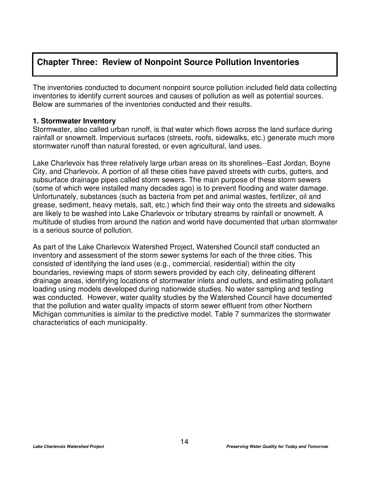### **Chapter Three: Review of Nonpoint Source Pollution Inventories**

The inventories conducted to document nonpoint source pollution included field data collecting inventories to identify current sources and causes of pollution as well as potential sources. Below are summaries of the inventories conducted and their results.

### **1. Stormwater Inventory**

Stormwater, also called urban runoff, is that water which flows across the land surface during rainfall or snowmelt. Impervious surfaces (streets, roofs, sidewalks, etc.) generate much more stormwater runoff than natural forested, or even agricultural, land uses.

Lake Charlevoix has three relatively large urban areas on its shorelines--East Jordan, Boyne City, and Charlevoix. A portion of all these cities have paved streets with curbs, gutters, and subsurface drainage pipes called storm sewers. The main purpose of these storm sewers (some of which were installed many decades ago) is to prevent flooding and water damage. Unfortunately, substances (such as bacteria from pet and animal wastes, fertilizer, oil and grease, sediment, heavy metals, salt, etc.) which find their way onto the streets and sidewalks are likely to be washed into Lake Charlevoix or tributary streams by rainfall or snowmelt. A multitude of studies from around the nation and world have documented that urban stormwater is a serious source of pollution.

As part of the Lake Charlevoix Watershed Project, Watershed Council staff conducted an inventory and assessment of the storm sewer systems for each of the three cities. This consisted of identifying the land uses (e.g., commercial, residential) within the city boundaries, reviewing maps of storm sewers provided by each city, delineating different drainage areas, identifying locations of stormwater inlets and outlets, and estimating pollutant loading using models developed during nationwide studies. No water sampling and testing was conducted. However, water quality studies by the Watershed Council have documented that the pollution and water quality impacts of storm sewer effluent from other Northern Michigan communities is similar to the predictive model. Table 7 summarizes the stormwater characteristics of each municipality.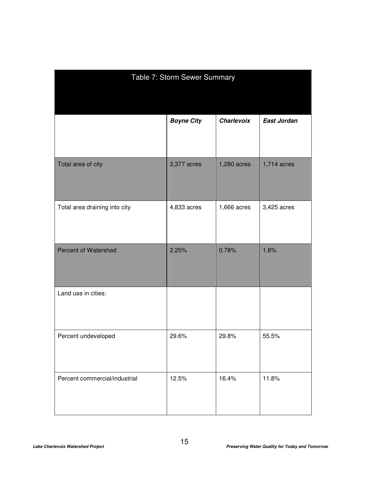| Table 7: Storm Sewer Summary  |                   |                   |                    |
|-------------------------------|-------------------|-------------------|--------------------|
|                               |                   |                   |                    |
|                               | <b>Boyne City</b> | <b>Charlevoix</b> | <b>East Jordan</b> |
| Total area of city            | 2,377 acres       | 1,280 acres       | 1,714 acres        |
| Total area draining into city | 4,833 acres       | 1,666 acres       | 3,425 acres        |
| <b>Percent of Watershed</b>   | 2.25%             | 0.78%             | 1.6%               |
| Land use in cities:           |                   |                   |                    |
| Percent undeveloped           | 29.6%             | 29.8%             | 55.5%              |
| Percent commercial/industrial | 12.5%             | 16.4%             | 11.8%              |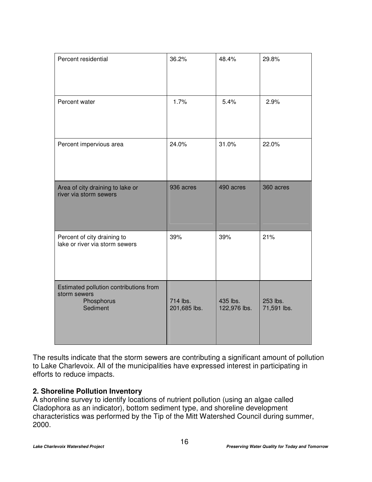| Percent residential                                                              | 36.2%                    | 48.4%                    | 29.8%                   |
|----------------------------------------------------------------------------------|--------------------------|--------------------------|-------------------------|
| Percent water                                                                    | 1.7%                     | 5.4%                     | 2.9%                    |
| Percent impervious area                                                          | 24.0%                    | 31.0%                    | 22.0%                   |
| Area of city draining to lake or<br>river via storm sewers                       | 936 acres                | 490 acres                | 360 acres               |
| Percent of city draining to<br>lake or river via storm sewers                    | 39%                      | 39%                      | 21%                     |
| Estimated pollution contributions from<br>storm sewers<br>Phosphorus<br>Sediment | 714 lbs.<br>201,685 lbs. | 435 lbs.<br>122,976 lbs. | 253 lbs.<br>71,591 lbs. |

The results indicate that the storm sewers are contributing a significant amount of pollution to Lake Charlevoix. All of the municipalities have expressed interest in participating in efforts to reduce impacts.

### **2. Shoreline Pollution Inventory**

A shoreline survey to identify locations of nutrient pollution (using an algae called Cladophora as an indicator), bottom sediment type, and shoreline development characteristics was performed by the Tip of the Mitt Watershed Council during summer, 2000.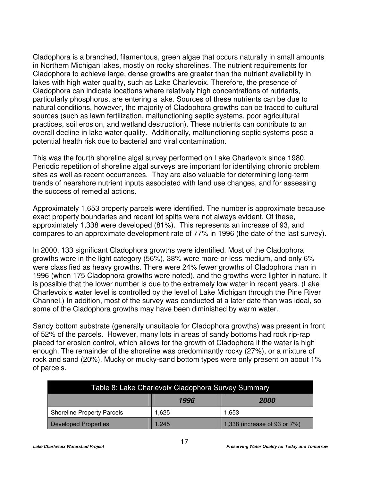Cladophora is a branched, filamentous, green algae that occurs naturally in small amounts in Northern Michigan lakes, mostly on rocky shorelines. The nutrient requirements for Cladophora to achieve large, dense growths are greater than the nutrient availability in lakes with high water quality, such as Lake Charlevoix. Therefore, the presence of Cladophora can indicate locations where relatively high concentrations of nutrients, particularly phosphorus, are entering a lake. Sources of these nutrients can be due to natural conditions, however, the majority of Cladophora growths can be traced to cultural sources (such as lawn fertilization, malfunctioning septic systems, poor agricultural practices, soil erosion, and wetland destruction). These nutrients can contribute to an overall decline in lake water quality. Additionally, malfunctioning septic systems pose a potential health risk due to bacterial and viral contamination.

This was the fourth shoreline algal survey performed on Lake Charlevoix since 1980. Periodic repetition of shoreline algal surveys are important for identifying chronic problem sites as well as recent occurrences. They are also valuable for determining long-term trends of nearshore nutrient inputs associated with land use changes, and for assessing the success of remedial actions.

Approximately 1,653 property parcels were identified. The number is approximate because exact property boundaries and recent lot splits were not always evident. Of these, approximately 1,338 were developed (81%). This represents an increase of 93, and compares to an approximate development rate of 77% in 1996 (the date of the last survey).

In 2000, 133 significant Cladophora growths were identified. Most of the Cladophora growths were in the light category (56%), 38% were more-or-less medium, and only 6% were classified as heavy growths. There were 24% fewer growths of Cladophora than in 1996 (when 175 Cladophora growths were noted), and the growths were lighter in nature. It is possible that the lower number is due to the extremely low water in recent years. (Lake Charlevoix's water level is controlled by the level of Lake Michigan through the Pine River Channel.) In addition, most of the survey was conducted at a later date than was ideal, so some of the Cladophora growths may have been diminished by warm water.

Sandy bottom substrate (generally unsuitable for Cladophora growths) was present in front of 52% of the parcels. However, many lots in areas of sandy bottoms had rock rip-rap placed for erosion control, which allows for the growth of Cladophora if the water is high enough. The remainder of the shoreline was predominantly rocky (27%), or a mixture of rock and sand (20%). Mucky or mucky-sand bottom types were only present on about 1% of parcels.

| Table 8: Lake Charlevoix Cladophora Survey Summary |                            |                              |  |
|----------------------------------------------------|----------------------------|------------------------------|--|
|                                                    | 1996<br><i><b>2000</b></i> |                              |  |
| <b>Shoreline Property Parcels</b>                  | 1.625                      | 1.653                        |  |
| <b>Developed Properties</b>                        | 1,245                      | 1,338 (increase of 93 or 7%) |  |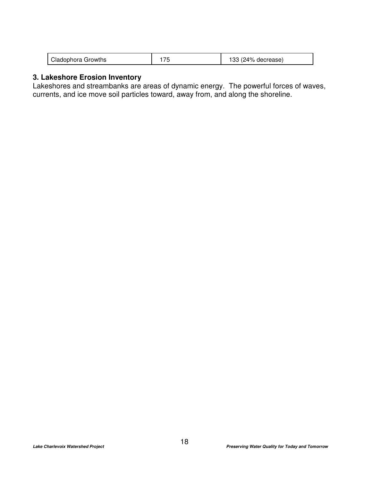| Cladophora Growths |  | 133 (24% decrease) |
|--------------------|--|--------------------|
|--------------------|--|--------------------|

### **3. Lakeshore Erosion Inventory**

Lakeshores and streambanks are areas of dynamic energy. The powerful forces of waves, currents, and ice move soil particles toward, away from, and along the shoreline.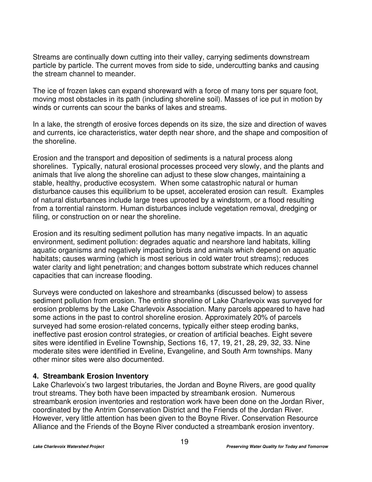Streams are continually down cutting into their valley, carrying sediments downstream particle by particle. The current moves from side to side, undercutting banks and causing the stream channel to meander.

The ice of frozen lakes can expand shoreward with a force of many tons per square foot, moving most obstacles in its path (including shoreline soil). Masses of ice put in motion by winds or currents can scour the banks of lakes and streams.

In a lake, the strength of erosive forces depends on its size, the size and direction of waves and currents, ice characteristics, water depth near shore, and the shape and composition of the shoreline.

Erosion and the transport and deposition of sediments is a natural process along shorelines. Typically, natural erosional processes proceed very slowly, and the plants and animals that live along the shoreline can adjust to these slow changes, maintaining a stable, healthy, productive ecosystem. When some catastrophic natural or human disturbance causes this equilibrium to be upset, accelerated erosion can result. Examples of natural disturbances include large trees uprooted by a windstorm, or a flood resulting from a torrential rainstorm. Human disturbances include vegetation removal, dredging or filing, or construction on or near the shoreline.

Erosion and its resulting sediment pollution has many negative impacts. In an aquatic environment, sediment pollution: degrades aquatic and nearshore land habitats, killing aquatic organisms and negatively impacting birds and animals which depend on aquatic habitats; causes warming (which is most serious in cold water trout streams); reduces water clarity and light penetration; and changes bottom substrate which reduces channel capacities that can increase flooding.

Surveys were conducted on lakeshore and streambanks (discussed below) to assess sediment pollution from erosion. The entire shoreline of Lake Charlevoix was surveyed for erosion problems by the Lake Charlevoix Association. Many parcels appeared to have had some actions in the past to control shoreline erosion. Approximately 20% of parcels surveyed had some erosion-related concerns, typically either steep eroding banks, ineffective past erosion control strategies, or creation of artificial beaches. Eight severe sites were identified in Eveline Township, Sections 16, 17, 19, 21, 28, 29, 32, 33. Nine moderate sites were identified in Eveline, Evangeline, and South Arm townships. Many other minor sites were also documented.

### **4. Streambank Erosion Inventory**

Lake Charlevoix's two largest tributaries, the Jordan and Boyne Rivers, are good quality trout streams. They both have been impacted by streambank erosion. Numerous streambank erosion inventories and restoration work have been done on the Jordan River, coordinated by the Antrim Conservation District and the Friends of the Jordan River. However, very little attention has been given to the Boyne River. Conservation Resource Alliance and the Friends of the Boyne River conducted a streambank erosion inventory.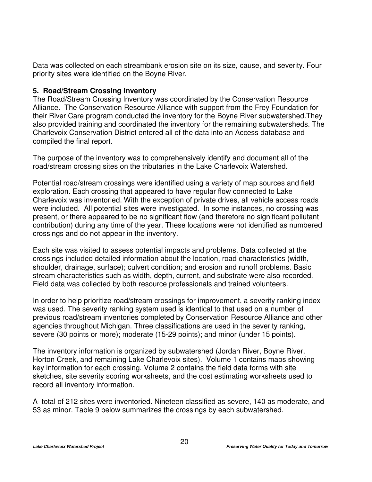Data was collected on each streambank erosion site on its size, cause, and severity. Four priority sites were identified on the Boyne River.

### **5. Road/Stream Crossing Inventory**

The Road/Stream Crossing Inventory was coordinated by the Conservation Resource Alliance. The Conservation Resource Alliance with support from the Frey Foundation for their River Care program conducted the inventory for the Boyne River subwatershed.They also provided training and coordinated the inventory for the remaining subwatersheds. The Charlevoix Conservation District entered all of the data into an Access database and compiled the final report.

The purpose of the inventory was to comprehensively identify and document all of the road/stream crossing sites on the tributaries in the Lake Charlevoix Watershed.

Potential road/stream crossings were identified using a variety of map sources and field exploration. Each crossing that appeared to have regular flow connected to Lake Charlevoix was inventoried. With the exception of private drives, all vehicle access roads were included. All potential sites were investigated. In some instances, no crossing was present, or there appeared to be no significant flow (and therefore no significant pollutant contribution) during any time of the year. These locations were not identified as numbered crossings and do not appear in the inventory.

Each site was visited to assess potential impacts and problems. Data collected at the crossings included detailed information about the location, road characteristics (width, shoulder, drainage, surface); culvert condition; and erosion and runoff problems. Basic stream characteristics such as width, depth, current, and substrate were also recorded. Field data was collected by both resource professionals and trained volunteers.

In order to help prioritize road/stream crossings for improvement, a severity ranking index was used. The severity ranking system used is identical to that used on a number of previous road/stream inventories completed by Conservation Resource Alliance and other agencies throughout Michigan. Three classifications are used in the severity ranking, severe (30 points or more); moderate (15-29 points); and minor (under 15 points).

The inventory information is organized by subwatershed (Jordan River, Boyne River, Horton Creek, and remaining Lake Charlevoix sites). Volume 1 contains maps showing key information for each crossing. Volume 2 contains the field data forms with site sketches, site severity scoring worksheets, and the cost estimating worksheets used to record all inventory information.

A total of 212 sites were inventoried. Nineteen classified as severe, 140 as moderate, and 53 as minor. Table 9 below summarizes the crossings by each subwatershed.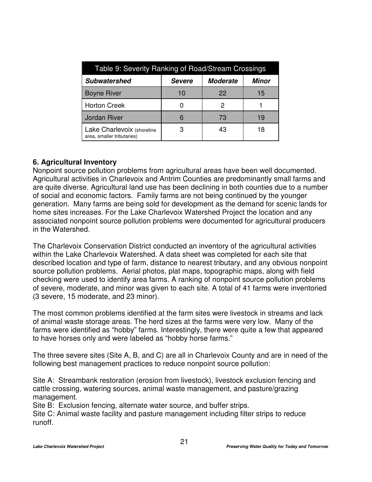| Table 9: Severity Ranking of Road/Stream Crossings       |               |                 |       |  |  |  |
|----------------------------------------------------------|---------------|-----------------|-------|--|--|--|
| <b>Subwatershed</b>                                      | <b>Severe</b> | <b>Moderate</b> | Minor |  |  |  |
| <b>Boyne River</b>                                       | 10            | 22              | 15    |  |  |  |
| <b>Horton Creek</b>                                      |               | 2               |       |  |  |  |
| <b>Jordan River</b>                                      |               | 73              | 19    |  |  |  |
| Lake Charlevoix (shoreline<br>area, smaller tributaries) |               | 43              | 18    |  |  |  |

### **6. Agricultural Inventory**

Nonpoint source pollution problems from agricultural areas have been well documented. Agricultural activities in Charlevoix and Antrim Counties are predominantly small farms and are quite diverse. Agricultural land use has been declining in both counties due to a number of social and economic factors. Family farms are not being continued by the younger generation. Many farms are being sold for development as the demand for scenic lands for home sites increases. For the Lake Charlevoix Watershed Project the location and any associated nonpoint source pollution problems were documented for agricultural producers in the Watershed.

The Charlevoix Conservation District conducted an inventory of the agricultural activities within the Lake Charlevoix Watershed. A data sheet was completed for each site that described location and type of farm, distance to nearest tributary, and any obvious nonpoint source pollution problems. Aerial photos, plat maps, topographic maps, along with field checking were used to identify area farms. A ranking of nonpoint source pollution problems of severe, moderate, and minor was given to each site. A total of 41 farms were inventoried (3 severe, 15 moderate, and 23 minor).

The most common problems identified at the farm sites were livestock in streams and lack of animal waste storage areas. The herd sizes at the farms were very low. Many of the farms were identified as "hobby" farms. Interestingly, there were quite a few that appeared to have horses only and were labeled as "hobby horse farms."

The three severe sites (Site A, B, and C) are all in Charlevoix County and are in need of the following best management practices to reduce nonpoint source pollution:

Site A: Streambank restoration (erosion from livestock), livestock exclusion fencing and cattle crossing, watering sources, animal waste management, and pasture/grazing management.

Site B: Exclusion fencing, alternate water source, and buffer strips.

Site C: Animal waste facility and pasture management including filter strips to reduce runoff.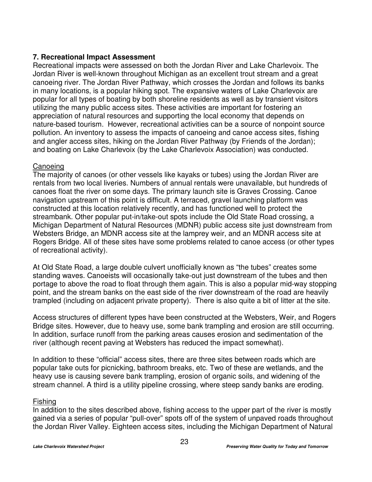### **7. Recreational Impact Assessment**

Recreational impacts were assessed on both the Jordan River and Lake Charlevoix. The Jordan River is well-known throughout Michigan as an excellent trout stream and a great canoeing river. The Jordan River Pathway, which crosses the Jordan and follows its banks in many locations, is a popular hiking spot. The expansive waters of Lake Charlevoix are popular for all types of boating by both shoreline residents as well as by transient visitors utilizing the many public access sites. These activities are important for fostering an appreciation of natural resources and supporting the local economy that depends on nature-based tourism. However, recreational activities can be a source of nonpoint source pollution. An inventory to assess the impacts of canoeing and canoe access sites, fishing and angler access sites, hiking on the Jordan River Pathway (by Friends of the Jordan); and boating on Lake Charlevoix (by the Lake Charlevoix Association) was conducted.

### **Canoeing**

The majority of canoes (or other vessels like kayaks or tubes) using the Jordan River are rentals from two local liveries. Numbers of annual rentals were unavailable, but hundreds of canoes float the river on some days. The primary launch site is Graves Crossing. Canoe navigation upstream of this point is difficult. A terraced, gravel launching platform was constructed at this location relatively recently, and has functioned well to protect the streambank. Other popular put-in/take-out spots include the Old State Road crossing, a Michigan Department of Natural Resources (MDNR) public access site just downstream from Websters Bridge, an MDNR access site at the lamprey weir, and an MDNR access site at Rogers Bridge. All of these sites have some problems related to canoe access (or other types of recreational activity).

At Old State Road, a large double culvert unofficially known as "the tubes" creates some standing waves. Canoeists will occasionally take-out just downstream of the tubes and then portage to above the road to float through them again. This is also a popular mid-way stopping point, and the stream banks on the east side of the river downstream of the road are heavily trampled (including on adjacent private property). There is also quite a bit of litter at the site.

Access structures of different types have been constructed at the Websters, Weir, and Rogers Bridge sites. However, due to heavy use, some bank trampling and erosion are still occurring. In addition, surface runoff from the parking areas causes erosion and sedimentation of the river (although recent paving at Websters has reduced the impact somewhat).

In addition to these "official" access sites, there are three sites between roads which are popular take outs for picnicking, bathroom breaks, etc. Two of these are wetlands, and the heavy use is causing severe bank trampling, erosion of organic soils, and widening of the stream channel. A third is a utility pipeline crossing, where steep sandy banks are eroding.

### Fishing

In addition to the sites described above, fishing access to the upper part of the river is mostly gained via a series of popular "pull-over" spots off of the system of unpaved roads throughout the Jordan River Valley. Eighteen access sites, including the Michigan Department of Natural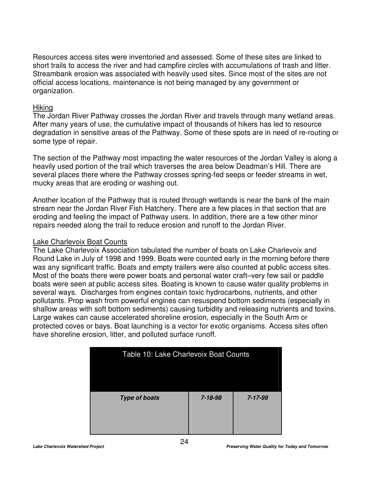Resources access sites were inventoried and assessed. Some of these sites are linked to short trails to access the river and had campfire circles with accumulations of trash and litter. Streambank erosion was associated with heavily used sites. Since most of the sites are not official access locations, maintenance is not being managed by any government or organization.

#### Hiking

The Jordan River Pathway crosses the Jordan River and travels through many wetland areas. After many years of use, the cumulative impact of thousands of hikers has led to resource degradation in sensitive areas of the Pathway. Some of these spots are in need of re-routing or some type of repair.

The section of the Pathway most impacting the water resources of the Jordan Valley is along a heavily used portion of the trail which traverses the area below Deadman's Hill. There are several places there where the Pathway crosses spring-fed seeps or feeder streams in wet, mucky areas that are eroding or washing out.

Another location of the Pathway that is routed through wetlands is near the bank of the main stream near the Jordan River Fish Hatchery. There are a few places in that section that are eroding and feeling the impact of Pathway users. In addition, there are a few other minor repairs needed along the trail to reduce erosion and runoff to the Jordan River.

#### Lake Charlevoix Boat Counts

The Lake Charlevoix Association tabulated the number of boats on Lake Charlevoix and Round Lake in July of 1998 and 1999. Boats were counted early in the morning before there was any significant traffic. Boats and empty trailers were also counted at public access sites. Most of the boats there were power boats and personal water craft–very few sail or paddle boats were seen at public access sites. Boating is known to cause water quality problems in several ways. Discharges from engines contain toxic hydrocarbons, nutrients, and other pollutants. Prop wash from powerful engines can resuspend bottom sediments (especially in shallow areas with soft bottom sediments) causing turbidity and releasing nutrients and toxins. Large wakes can cause accelerated shoreline erosion, especially in the South Arm or protected coves or bays. Boat launching is a vector for exotic organisms. Access sites often have shoreline erosion, litter, and polluted surface runoff.

| Table 10: Lake Charlevoix Boat Counts |         |         |  |  |
|---------------------------------------|---------|---------|--|--|
| <b>Type of boats</b>                  | 7-18-98 | 7-17-99 |  |  |
|                                       |         |         |  |  |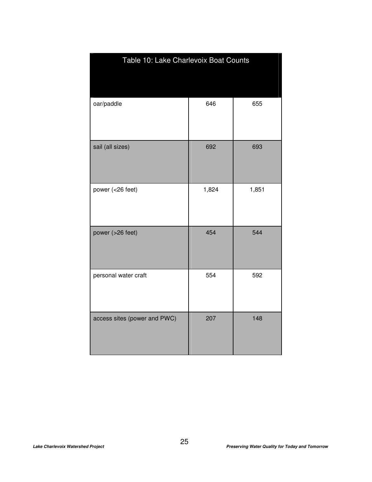| Table 10: Lake Charlevoix Boat Counts |       |       |
|---------------------------------------|-------|-------|
| oar/paddle                            | 646   | 655   |
| sail (all sizes)                      | 692   | 693   |
| power (<26 feet)                      | 1,824 | 1,851 |
| power (>26 feet)                      | 454   | 544   |
| personal water craft                  | 554   | 592   |
| access sites (power and PWC)          | 207   | 148   |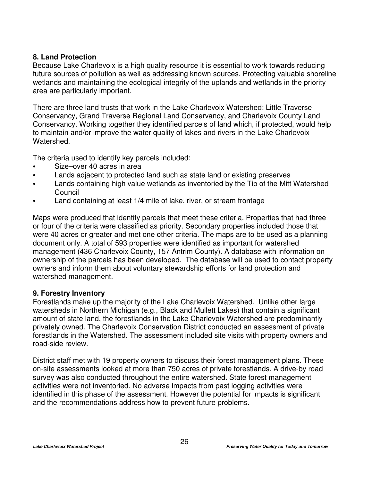### **8. Land Protection**

Because Lake Charlevoix is a high quality resource it is essential to work towards reducing future sources of pollution as well as addressing known sources. Protecting valuable shoreline wetlands and maintaining the ecological integrity of the uplands and wetlands in the priority area are particularly important.

There are three land trusts that work in the Lake Charlevoix Watershed: Little Traverse Conservancy, Grand Traverse Regional Land Conservancy, and Charlevoix County Land Conservancy. Working together they identified parcels of land which, if protected, would help to maintain and/or improve the water quality of lakes and rivers in the Lake Charlevoix Watershed.

The criteria used to identify key parcels included:

- Size–over 40 acres in area
- Lands adjacent to protected land such as state land or existing preserves
- Lands containing high value wetlands as inventoried by the Tip of the Mitt Watershed Council
- Land containing at least 1/4 mile of lake, river, or stream frontage

Maps were produced that identify parcels that meet these criteria. Properties that had three or four of the criteria were classified as priority. Secondary properties included those that were 40 acres or greater and met one other criteria. The maps are to be used as a planning document only. A total of 593 properties were identified as important for watershed management (436 Charlevoix County, 157 Antrim County). A database with information on ownership of the parcels has been developed. The database will be used to contact property owners and inform them about voluntary stewardship efforts for land protection and watershed management.

### **9. Forestry Inventory**

Forestlands make up the majority of the Lake Charlevoix Watershed. Unlike other large watersheds in Northern Michigan (e.g., Black and Mullett Lakes) that contain a significant amount of state land, the forestlands in the Lake Charlevoix Watershed are predominantly privately owned. The Charlevoix Conservation District conducted an assessment of private forestlands in the Watershed. The assessment included site visits with property owners and road-side review.

District staff met with 19 property owners to discuss their forest management plans. These on-site assessments looked at more than 750 acres of private forestlands. A drive-by road survey was also conducted throughout the entire watershed. State forest management activities were not inventoried. No adverse impacts from past logging activities were identified in this phase of the assessment. However the potential for impacts is significant and the recommendations address how to prevent future problems.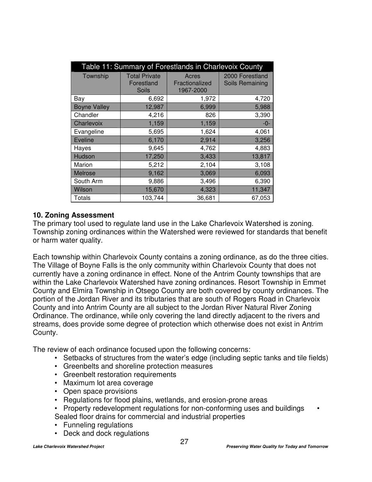| Table 11: Summary of Forestlands in Charlevoix County |                                                    |                                      |                                    |  |  |
|-------------------------------------------------------|----------------------------------------------------|--------------------------------------|------------------------------------|--|--|
| Township                                              | <b>Total Private</b><br>Forestland<br><b>Soils</b> | Acres<br>Fractionalized<br>1967-2000 | 2000 Forestland<br>Soils Remaining |  |  |
| Bay                                                   | 6,692                                              | 1,972                                | 4,720                              |  |  |
| <b>Boyne Valley</b>                                   | 12,987                                             | 6,999                                | 5,988                              |  |  |
| Chandler                                              | 4,216                                              | 826                                  | 3,390                              |  |  |
| Charlevoix                                            | 1,159                                              | 1,159                                | -0-                                |  |  |
| Evangeline                                            | 5,695                                              | 1,624                                | 4,061                              |  |  |
| Eveline                                               | 6,170                                              | 2,914                                | 3,256                              |  |  |
| Hayes                                                 | 9,645                                              | 4,762                                | 4,883                              |  |  |
| Hudson                                                | 17,250                                             | 3,433                                | 13,817                             |  |  |
| Marion                                                | 5,212                                              | 2,104                                | 3,108                              |  |  |
| Melrose                                               | 9,162                                              | 3,069                                | 6,093                              |  |  |
| South Arm                                             | 9,886                                              | 3,496                                | 6,390                              |  |  |
| Wilson                                                | 15,670                                             | 4,323                                | 11,347                             |  |  |
| Totals                                                | 103,744                                            | 36,681                               | 67,053                             |  |  |

### **10. Zoning Assessment**

The primary tool used to regulate land use in the Lake Charlevoix Watershed is zoning. Township zoning ordinances within the Watershed were reviewed for standards that benefit or harm water quality.

Each township within Charlevoix County contains a zoning ordinance, as do the three cities. The Village of Boyne Falls is the only community within Charlevoix County that does not currently have a zoning ordinance in effect. None of the Antrim County townships that are within the Lake Charlevoix Watershed have zoning ordinances. Resort Township in Emmet County and Elmira Township in Otsego County are both covered by county ordinances. The portion of the Jordan River and its tributaries that are south of Rogers Road in Charlevoix County and into Antrim County are all subject to the Jordan River Natural River Zoning Ordinance. The ordinance, while only covering the land directly adjacent to the rivers and streams, does provide some degree of protection which otherwise does not exist in Antrim County.

The review of each ordinance focused upon the following concerns:

- Setbacks of structures from the water's edge (including septic tanks and tile fields)
- Greenbelts and shoreline protection measures
- Greenbelt restoration requirements
- Maximum lot area coverage
- Open space provisions
- Regulations for flood plains, wetlands, and erosion-prone areas
- Property redevelopment regulations for non-conforming uses and buildings Sealed floor drains for commercial and industrial properties
- Funneling regulations
- Deck and dock regulations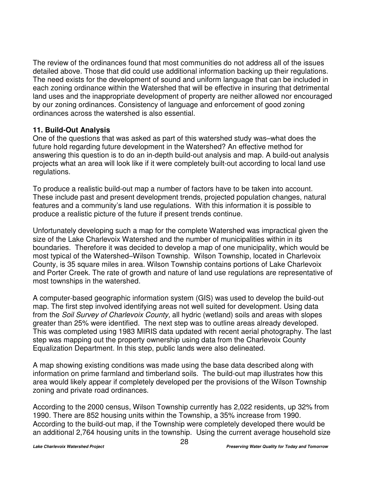The review of the ordinances found that most communities do not address all of the issues detailed above. Those that did could use additional information backing up their regulations. The need exists for the development of sound and uniform language that can be included in each zoning ordinance within the Watershed that will be effective in insuring that detrimental land uses and the inappropriate development of property are neither allowed nor encouraged by our zoning ordinances. Consistency of language and enforcement of good zoning ordinances across the watershed is also essential.

### **11. Build-Out Analysis**

One of the questions that was asked as part of this watershed study was–what does the future hold regarding future development in the Watershed? An effective method for answering this question is to do an in-depth build-out analysis and map. A build-out analysis projects what an area will look like if it were completely built-out according to local land use regulations.

To produce a realistic build-out map a number of factors have to be taken into account. These include past and present development trends, projected population changes, natural features and a community's land use regulations. With this information it is possible to produce a realistic picture of the future if present trends continue.

Unfortunately developing such a map for the complete Watershed was impractical given the size of the Lake Charlevoix Watershed and the number of municipalities within in its boundaries. Therefore it was decided to develop a map of one municipality, which would be most typical of the Watershed–Wilson Township. Wilson Township, located in Charlevoix County, is 35 square miles in area. Wilson Township contains portions of Lake Charlevoix and Porter Creek. The rate of growth and nature of land use regulations are representative of most townships in the watershed.

A computer-based geographic information system (GIS) was used to develop the build-out map. The first step involved identifying areas not well suited for development. Using data from the *Soil Survey of Charlevoix County,* all hydric (wetland) soils and areas with slopes greater than 25% were identified. The next step was to outline areas already developed. This was completed using 1983 MIRIS data updated with recent aerial photography. The last step was mapping out the property ownership using data from the Charlevoix County Equalization Department. In this step, public lands were also delineated.

A map showing existing conditions was made using the base data described along with information on prime farmland and timberland soils. The build-out map illustrates how this area would likely appear if completely developed per the provisions of the Wilson Township zoning and private road ordinances.

According to the 2000 census, Wilson Township currently has 2,022 residents, up 32% from 1990. There are 852 housing units within the Township, a 35% increase from 1990. According to the build-out map, if the Township were completely developed there would be an additional 2,764 housing units in the township. Using the current average household size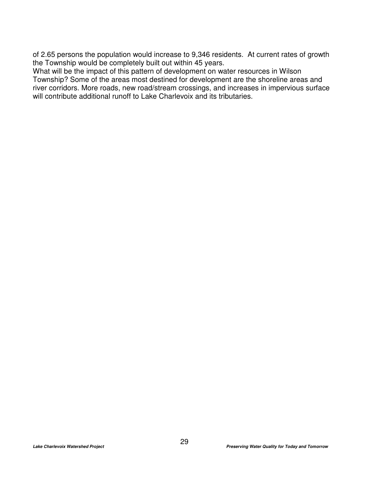of 2.65 persons the population would increase to 9,346 residents. At current rates of growth the Township would be completely built out within 45 years.

What will be the impact of this pattern of development on water resources in Wilson Township? Some of the areas most destined for development are the shoreline areas and river corridors. More roads, new road/stream crossings, and increases in impervious surface will contribute additional runoff to Lake Charlevoix and its tributaries.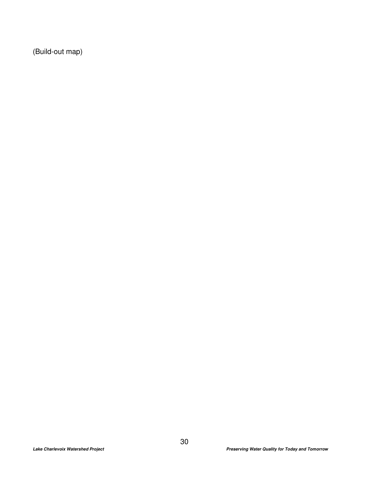(Build-out map)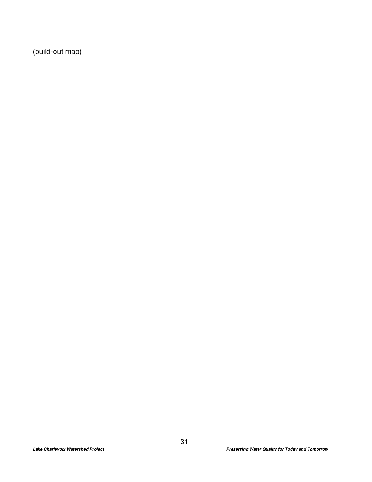(build-out map)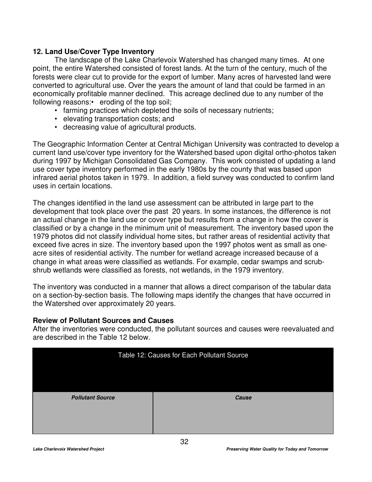# **12. Land Use/Cover Type Inventory**

The landscape of the Lake Charlevoix Watershed has changed many times. At one point, the entire Watershed consisted of forest lands. At the turn of the century, much of the forests were clear cut to provide for the export of lumber. Many acres of harvested land were converted to agricultural use. Over the years the amount of land that could be farmed in an economically profitable manner declined. This acreage declined due to any number of the following reasons: eroding of the top soil;

- farming practices which depleted the soils of necessary nutrients;
- elevating transportation costs; and
- decreasing value of agricultural products.

The Geographic Information Center at Central Michigan University was contracted to develop a current land use/cover type inventory for the Watershed based upon digital ortho-photos taken during 1997 by Michigan Consolidated Gas Company. This work consisted of updating a land use cover type inventory performed in the early 1980s by the county that was based upon infrared aerial photos taken in 1979. In addition, a field survey was conducted to confirm land uses in certain locations.

The changes identified in the land use assessment can be attributed in large part to the development that took place over the past 20 years. In some instances, the difference is not an actual change in the land use or cover type but results from a change in how the cover is classified or by a change in the minimum unit of measurement. The inventory based upon the 1979 photos did not classify individual home sites, but rather areas of residential activity that exceed five acres in size. The inventory based upon the 1997 photos went as small as oneacre sites of residential activity. The number for wetland acreage increased because of a change in what areas were classified as wetlands. For example, cedar swamps and scrubshrub wetlands were classified as forests, not wetlands, in the 1979 inventory.

The inventory was conducted in a manner that allows a direct comparison of the tabular data on a section-by-section basis. The following maps identify the changes that have occurred in the Watershed over approximately 20 years.

# **Review of Pollutant Sources and Causes**

After the inventories were conducted, the pollutant sources and causes were reevaluated and are described in the Table 12 below.

| Table 12: Causes for Each Pollutant Source |       |
|--------------------------------------------|-------|
|                                            |       |
| <b>Pollutant Source</b>                    | Cause |
|                                            |       |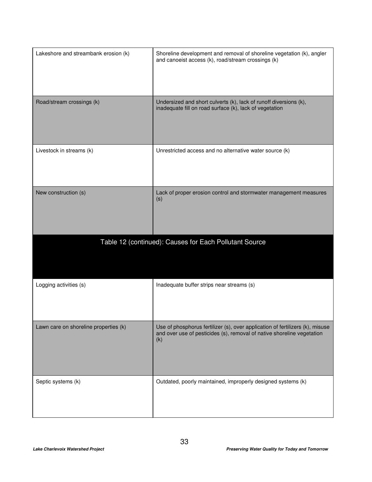| Lakeshore and streambank erosion (k)  | Shoreline development and removal of shoreline vegetation (k), angler<br>and canoeist access (k), road/stream crossings (k)  |
|---------------------------------------|------------------------------------------------------------------------------------------------------------------------------|
| Road/stream crossings (k)             | Undersized and short culverts (k), lack of runoff diversions (k),<br>inadequate fill on road surface (k), lack of vegetation |
| Livestock in streams (k)              | Unrestricted access and no alternative water source (k)                                                                      |
| New construction (s)                  | Lack of proper erosion control and stormwater management measures<br>(s)                                                     |
|                                       | Table 12 (continued): Causes for Each Pollutant Source                                                                       |
| Logging activities (s)                | Inadequate buffer strips near streams (s)                                                                                    |
| Lawn care on shoreline properties (k) | Use of phosphorus fertilizer (s), over application of fertilizers (k), misuse                                                |
|                                       | and over use of pesticides (s), removal of native shoreline vegetation<br>(k)                                                |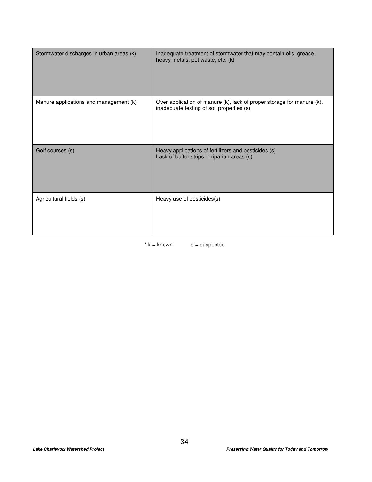| Stormwater discharges in urban areas (k) | Inadequate treatment of stormwater that may contain oils, grease,<br>heavy metals, pet waste, etc. (k)              |
|------------------------------------------|---------------------------------------------------------------------------------------------------------------------|
| Manure applications and management (k)   | Over application of manure (k), lack of proper storage for manure (k),<br>inadequate testing of soil properties (s) |
| Golf courses (s)                         | Heavy applications of fertilizers and pesticides (s)<br>Lack of buffer strips in riparian areas (s)                 |
| Agricultural fields (s)                  | Heavy use of pesticides(s)                                                                                          |

 $*$  k = known  $s =$  suspected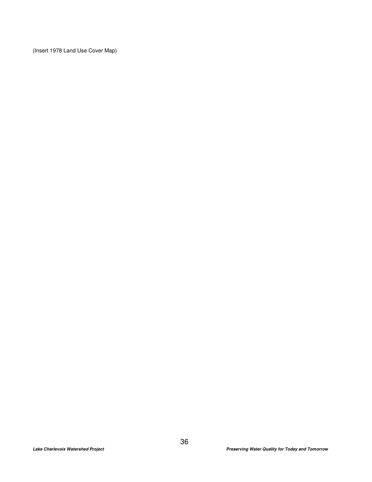(Insert 1978 Land Use Cover Map)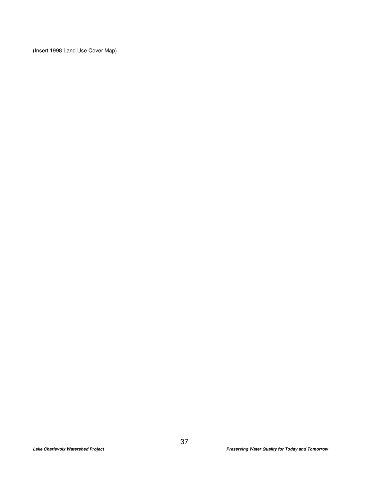(Insert 1998 Land Use Cover Map)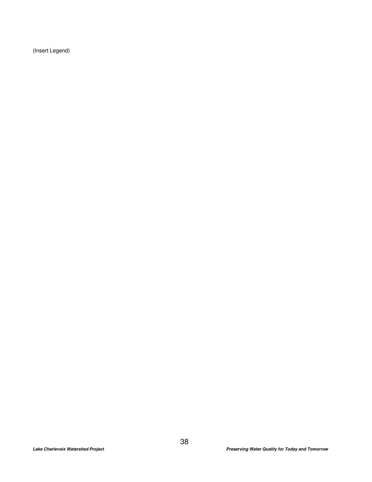(Insert Legend)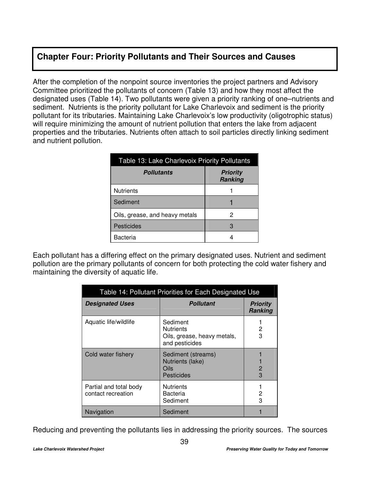# **Chapter Four: Priority Pollutants and Their Sources and Causes**

After the completion of the nonpoint source inventories the project partners and Advisory Committee prioritized the pollutants of concern (Table 13) and how they most affect the designated uses (Table 14). Two pollutants were given a priority ranking of one–nutrients and sediment. Nutrients is the priority pollutant for Lake Charlevoix and sediment is the priority pollutant for its tributaries. Maintaining Lake Charlevoix's low productivity (oligotrophic status) will require minimizing the amount of nutrient pollution that enters the lake from adjacent properties and the tributaries. Nutrients often attach to soil particles directly linking sediment and nutrient pollution.

| Table 13: Lake Charlevoix Priority Pollutants |                                   |  |
|-----------------------------------------------|-----------------------------------|--|
| <b>Pollutants</b>                             | <b>Priority</b><br><b>Ranking</b> |  |
| <b>Nutrients</b>                              |                                   |  |
| Sediment                                      |                                   |  |
| Oils, grease, and heavy metals                | 2                                 |  |
| Pesticides                                    | З                                 |  |
| Bacteria                                      |                                   |  |

Each pollutant has a differing effect on the primary designated uses. Nutrient and sediment pollution are the primary pollutants of concern for both protecting the cold water fishery and maintaining the diversity of aquatic life.

| Table 14: Pollutant Priorities for Each Designated Use |                                                                               |                                   |
|--------------------------------------------------------|-------------------------------------------------------------------------------|-----------------------------------|
| <b>Designated Uses</b>                                 | <b>Pollutant</b>                                                              | <b>Priority</b><br><b>Ranking</b> |
| Aquatic life/wildlife                                  | Sediment<br><b>Nutrients</b><br>Oils, grease, heavy metals,<br>and pesticides | 2<br>3                            |
| Cold water fishery                                     | Sediment (streams)<br>Nutrients (lake)<br>Oils<br>Pesticides                  | 2<br>3                            |
| Partial and total body<br>contact recreation           | <b>Nutrients</b><br>Bacteria<br>Sediment                                      | 2<br>3                            |
| Navigation                                             | Sediment                                                                      |                                   |

Reducing and preventing the pollutants lies in addressing the priority sources. The sources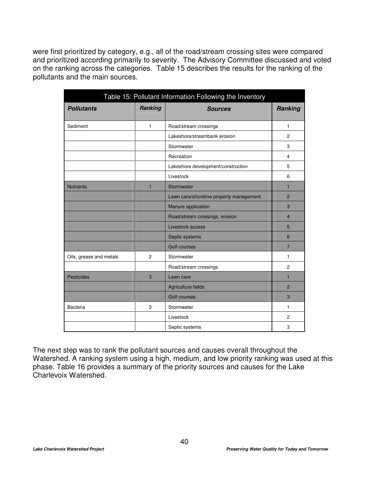were first prioritized by category, e.g., all of the road/stream crossing sites were compared and prioritized according primarily to severity. The Advisory Committee discussed and voted on the ranking across the categories. Table 15 describes the results for the ranking of the pollutants and the main sources.

| Table 15: Pollutant Information Following the Inventory |                |                                         |                |
|---------------------------------------------------------|----------------|-----------------------------------------|----------------|
| <b>Pollutants</b>                                       | <b>Ranking</b> | <b>Sources</b>                          | <b>Ranking</b> |
| Sediment                                                | 1              | Road/stream crossings                   | $\mathbf{1}$   |
|                                                         |                | Lakeshore/streambank erosion            | $\overline{2}$ |
|                                                         |                | Stormwater                              | 3              |
|                                                         |                | Recreation                              | 4              |
|                                                         |                | Lakeshore development/construction      | 5              |
|                                                         |                | Livestock                               | 6              |
| <b>Nutrients</b>                                        | $\mathbf{1}$   | Stormwater                              | 1              |
|                                                         |                | Lawn care/shoreline property management | $\overline{2}$ |
|                                                         |                | Manure application                      | 3              |
|                                                         |                | Road/stream crossings, erosion          | $\overline{4}$ |
|                                                         |                | Livestock access                        | 5              |
|                                                         |                | Septic systems                          | 6              |
|                                                         |                | <b>Golf courses</b>                     | $\overline{7}$ |
| Oils, grease and metals                                 | $\overline{2}$ | Stormwater                              | 1              |
|                                                         |                | Road/stream crossings                   | $\overline{2}$ |
| <b>Pesticides</b>                                       | 3              | Lawn care                               | $\mathbf{1}$   |
|                                                         |                | Agriculture fields                      | $\overline{2}$ |
|                                                         |                | <b>Golf courses</b>                     | 3              |
| <b>Bacteria</b>                                         | 3              | Stormwater                              | 1              |
|                                                         |                | Livestock                               | $\overline{2}$ |
|                                                         |                | Septic systems                          | 3              |

The next step was to rank the pollutant sources and causes overall throughout the Watershed. A ranking system using a high, medium, and low priority ranking was used at this phase. Table 16 provides a summary of the priority sources and causes for the Lake Charlevoix Watershed.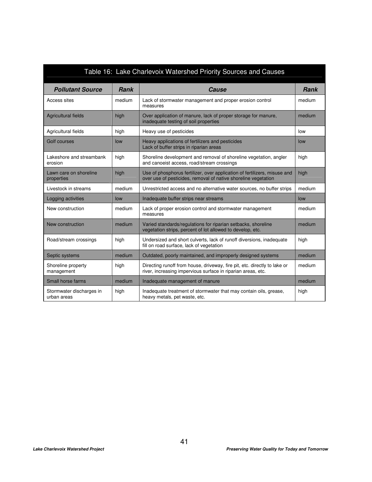| Table 16: Lake Charlevoix Watershed Priority Sources and Causes |             |                                                                                                                                             |             |
|-----------------------------------------------------------------|-------------|---------------------------------------------------------------------------------------------------------------------------------------------|-------------|
| <b>Pollutant Source</b>                                         | <b>Rank</b> | Cause                                                                                                                                       | <b>Rank</b> |
| Access sites                                                    | medium      | Lack of stormwater management and proper erosion control<br>measures                                                                        | medium      |
| <b>Agricultural fields</b>                                      | high        | Over application of manure, lack of proper storage for manure,<br>inadequate testing of soil properties                                     | medium      |
| Agricultural fields                                             | high        | Heavy use of pesticides                                                                                                                     | low         |
| Golf courses                                                    | low         | Heavy applications of fertilizers and pesticides<br>Lack of buffer strips in riparian areas                                                 | low         |
| Lakeshore and streambank<br>erosion                             | high        | Shoreline development and removal of shoreline vegetation, angler<br>and canoeist access, road/stream crossings                             | high        |
| Lawn care on shoreline<br>properties                            | high        | Use of phosphorus fertilizer, over application of fertilizers, misuse and<br>over use of pesticides, removal of native shoreline vegetation | high        |
| Livestock in streams                                            | medium      | Unrestricted access and no alternative water sources, no buffer strips                                                                      | medium      |
| Logging activities                                              | low         | Inadequate buffer strips near streams                                                                                                       | low         |
| New construction                                                | medium      | Lack of proper erosion control and stormwater management<br>measures                                                                        | medium      |
| New construction                                                | medium      | Varied standards/regulations for riparian setbacks, shoreline<br>vegetation strips, percent of lot allowed to develop, etc.                 | medium      |
| Road/stream crossings                                           | high        | Undersized and short culverts, lack of runoff diversions, inadequate<br>fill on road surface, lack of vegetation                            | high        |
| Septic systems                                                  | medium      | Outdated, poorly maintained, and improperly designed systems                                                                                | medium      |
| Shoreline property<br>management                                | high        | Directing runoff from house, driveway, fire pit, etc. directly to lake or<br>river, increasing impervious surface in riparian areas, etc.   | medium      |
| Small horse farms                                               | medium      | Inadequate management of manure                                                                                                             | medium      |
| Stormwater discharges in<br>urban areas                         | high        | Inadequate treatment of stormwater that may contain oils, grease,<br>heavy metals, pet waste, etc.                                          | high        |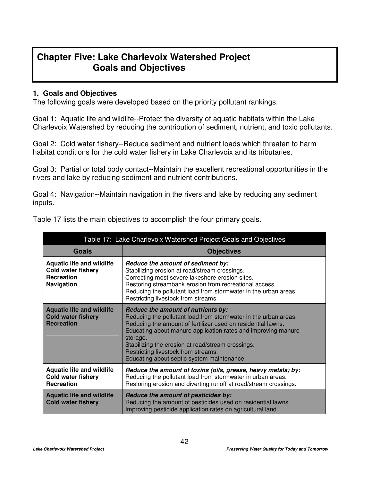# **Chapter Five: Lake Charlevoix Watershed Project Goals and Objectives**

# **1. Goals and Objectives**

The following goals were developed based on the priority pollutant rankings.

Goal 1: Aquatic life and wildlife--Protect the diversity of aquatic habitats within the Lake Charlevoix Watershed by reducing the contribution of sediment, nutrient, and toxic pollutants.

Goal 2: Cold water fishery--Reduce sediment and nutrient loads which threaten to harm habitat conditions for the cold water fishery in Lake Charlevoix and its tributaries.

Goal 3: Partial or total body contact--Maintain the excellent recreational opportunities in the rivers and lake by reducing sediment and nutrient contributions.

Goal 4: Navigation--Maintain navigation in the rivers and lake by reducing any sediment inputs.

| Table 17: Lake Charlevoix Watershed Project Goals and Objectives                                        |                                                                                                                                                                                                                                                                                                                                                                                              |
|---------------------------------------------------------------------------------------------------------|----------------------------------------------------------------------------------------------------------------------------------------------------------------------------------------------------------------------------------------------------------------------------------------------------------------------------------------------------------------------------------------------|
| <b>Goals</b>                                                                                            | <b>Objectives</b>                                                                                                                                                                                                                                                                                                                                                                            |
| <b>Aquatic life and wildlife</b><br><b>Cold water fishery</b><br><b>Recreation</b><br><b>Navigation</b> | Reduce the amount of sediment by:<br>Stabilizing erosion at road/stream crossings.<br>Correcting most severe lakeshore erosion sites.<br>Restoring streambank erosion from recreational access.<br>Reducing the pollutant load from stormwater in the urban areas.<br>Restricting livestock from streams.                                                                                    |
| <b>Aquatic life and wildlife</b><br><b>Cold water fishery</b><br><b>Recreation</b>                      | Reduce the amount of nutrients by:<br>Reducing the pollutant load from stormwater in the urban areas.<br>Reducing the amount of fertilizer used on residential lawns.<br>Educating about manure application rates and improving manure<br>storage.<br>Stabilizing the erosion at road/stream crossings.<br>Restricting livestock from streams.<br>Educating about septic system maintenance. |
| <b>Aquatic life and wildlife</b><br><b>Cold water fishery</b><br><b>Recreation</b>                      | Reduce the amount of toxins (oils, grease, heavy metals) by:<br>Reducing the pollutant load from stormwater in urban areas.<br>Restoring erosion and diverting runoff at road/stream crossings.                                                                                                                                                                                              |
| <b>Aquatic life and wildlife</b><br><b>Cold water fishery</b>                                           | Reduce the amount of pesticides by:<br>Reducing the amount of pesticides used on residential lawns.<br>Improving pesticide application rates on agricultural land.                                                                                                                                                                                                                           |

Table 17 lists the main objectives to accomplish the four primary goals.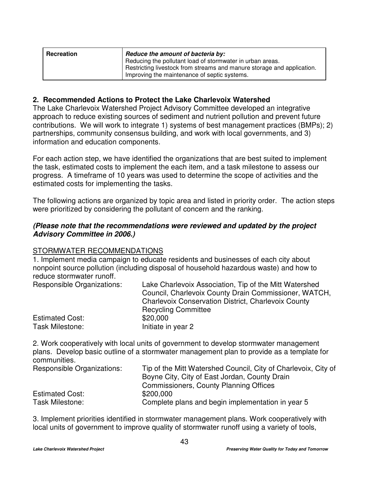| Recreation | Reduce the amount of bacteria by:                                                                                                                                                   |
|------------|-------------------------------------------------------------------------------------------------------------------------------------------------------------------------------------|
|            | Reducing the pollutant load of stormwater in urban areas.<br>Restricting livestock from streams and manure storage and application.<br>Improving the maintenance of septic systems. |

# **2. Recommended Actions to Protect the Lake Charlevoix Watershed**

The Lake Charlevoix Watershed Project Advisory Committee developed an integrative approach to reduce existing sources of sediment and nutrient pollution and prevent future contributions. We will work to integrate 1) systems of best management practices (BMPs); 2) partnerships, community consensus building, and work with local governments, and 3) information and education components.

For each action step, we have identified the organizations that are best suited to implement the task, estimated costs to implement the each item, and a task milestone to assess our progress. A timeframe of 10 years was used to determine the scope of activities and the estimated costs for implementing the tasks.

The following actions are organized by topic area and listed in priority order. The action steps were prioritized by considering the pollutant of concern and the ranking.

# *(Please note that the recommendations were reviewed and updated by the project Advisory Committee in 2006.)*

# STORMWATER RECOMMENDATIONS

1. Implement media campaign to educate residents and businesses of each city about nonpoint source pollution (including disposal of household hazardous waste) and how to reduce stormwater runoff.

| <b>Responsible Organizations:</b> | Lake Charlevoix Association, Tip of the Mitt Watershed<br>Council, Charlevoix County Drain Commissioner, WATCH, |
|-----------------------------------|-----------------------------------------------------------------------------------------------------------------|
|                                   | <b>Charlevoix Conservation District, Charlevoix County</b>                                                      |
|                                   | <b>Recycling Committee</b>                                                                                      |
| <b>Estimated Cost:</b>            | \$20,000                                                                                                        |
| Task Milestone:                   | Initiate in year 2                                                                                              |

2. Work cooperatively with local units of government to develop stormwater management plans. Develop basic outline of a stormwater management plan to provide as a template for communities.

| <b>Responsible Organizations:</b> | Tip of the Mitt Watershed Council, City of Charlevoix, City of |
|-----------------------------------|----------------------------------------------------------------|
|                                   | Boyne City, City of East Jordan, County Drain                  |
|                                   | <b>Commissioners, County Planning Offices</b>                  |
| <b>Estimated Cost:</b>            | \$200,000                                                      |
| Task Milestone:                   | Complete plans and begin implementation in year 5              |

3. Implement priorities identified in stormwater management plans. Work cooperatively with local units of government to improve quality of stormwater runoff using a variety of tools,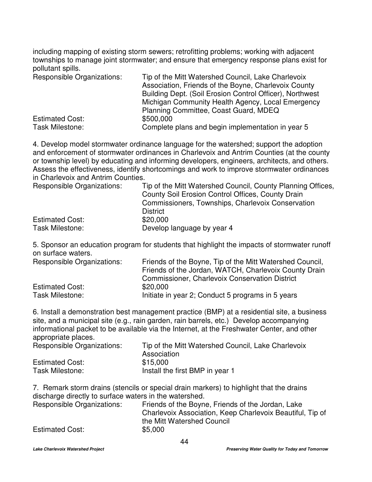including mapping of existing storm sewers; retrofitting problems; working with adjacent townships to manage joint stormwater; and ensure that emergency response plans exist for pollutant spills.

| <b>Responsible Organizations:</b> | Tip of the Mitt Watershed Council, Lake Charlevoix       |
|-----------------------------------|----------------------------------------------------------|
|                                   | Association, Friends of the Boyne, Charlevoix County     |
|                                   | Building Dept. (Soil Erosion Control Officer), Northwest |
|                                   | Michigan Community Health Agency, Local Emergency        |
|                                   | Planning Committee, Coast Guard, MDEQ                    |
| <b>Estimated Cost:</b>            | \$500,000                                                |
| <b>Task Milestone:</b>            | Complete plans and begin implementation in year 5        |

4. Develop model stormwater ordinance language for the watershed; support the adoption and enforcement of stormwater ordinances in Charlevoix and Antrim Counties (at the county or township level) by educating and informing developers, engineers, architects, and others. Assess the effectiveness, identify shortcomings and work to improve stormwater ordinances in Charlevoix and Antrim Counties.

| Tip of the Mitt Watershed Council, County Planning Offices, |
|-------------------------------------------------------------|
| County Soil Erosion Control Offices, County Drain           |
| Commissioners, Townships, Charlevoix Conservation           |
| <b>District</b>                                             |
| \$20,000                                                    |
| Develop language by year 4                                  |
|                                                             |

5. Sponsor an education program for students that highlight the impacts of stormwater runoff on surface waters.

| Responsible Organizations: | Friends of the Boyne, Tip of the Mitt Watershed Council, |
|----------------------------|----------------------------------------------------------|
|                            | Friends of the Jordan, WATCH, Charlevoix County Drain    |
|                            | <b>Commissioner, Charlevoix Conservation District</b>    |
| <b>Estimated Cost:</b>     | \$20,000                                                 |
| Task Milestone:            | Initiate in year 2; Conduct 5 programs in 5 years        |

6. Install a demonstration best management practice (BMP) at a residential site, a business site, and a municipal site (e.g., rain garden, rain barrels, etc.) Develop accompanying informational packet to be available via the Internet, at the Freshwater Center, and other appropriate places.

| Responsible Organizations: | Tip of the Mitt Watershed Council, Lake Charlevoix |
|----------------------------|----------------------------------------------------|
|                            | Association                                        |
| <b>Estimated Cost:</b>     | \$15,000                                           |
| Task Milestone:            | Install the first BMP in year 1                    |

7. Remark storm drains (stencils or special drain markers) to highlight that the drains discharge directly to surface waters in the watershed.

| Friends of the Boyne, Friends of the Jordan, Lake         |
|-----------------------------------------------------------|
| Charlevoix Association, Keep Charlevoix Beautiful, Tip of |
| the Mitt Watershed Council                                |
| \$5,000                                                   |
|                                                           |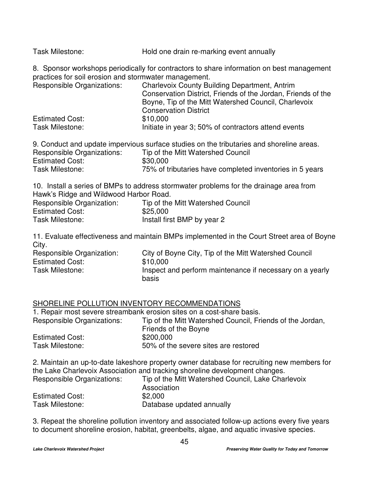| Task Milestone: | Hold one drain re-marking event annually |
|-----------------|------------------------------------------|
|-----------------|------------------------------------------|

8. Sponsor workshops periodically for contractors to share information on best management practices for soil erosion and stormwater management.

| <b>Responsible Organizations:</b> | <b>Charlevoix County Building Department, Antrim</b>         |
|-----------------------------------|--------------------------------------------------------------|
|                                   | Conservation District, Friends of the Jordan, Friends of the |
|                                   | Boyne, Tip of the Mitt Watershed Council, Charlevoix         |
|                                   | <b>Conservation District</b>                                 |
| <b>Estimated Cost:</b>            | \$10,000                                                     |
| Task Milestone:                   | Initiate in year 3; 50% of contractors attend events         |

|                            | 9. Conduct and update impervious surface studies on the tributaries and shoreline areas. |
|----------------------------|------------------------------------------------------------------------------------------|
| Responsible Organizations: | Tip of the Mitt Watershed Council                                                        |
| <b>Estimated Cost:</b>     | \$30,000                                                                                 |
| Task Milestone:            | 75% of tributaries have completed inventories in 5 years                                 |

10. Install a series of BMPs to address stormwater problems for the drainage area from Hawk's Ridge and Wildwood Harbor Road.

| Responsible Organization: | Tip of the Mitt Watershed Council |
|---------------------------|-----------------------------------|
| <b>Estimated Cost:</b>    | \$25,000                          |
| <b>Task Milestone:</b>    | Install first BMP by year 2       |

11. Evaluate effectiveness and maintain BMPs implemented in the Court Street area of Boyne City.

| Responsible Organization: | City of Boyne City, Tip of the Mitt Watershed Council             |
|---------------------------|-------------------------------------------------------------------|
| <b>Estimated Cost:</b>    | \$10,000                                                          |
| Task Milestone:           | Inspect and perform maintenance if necessary on a yearly<br>basis |

# SHORELINE POLLUTION INVENTORY RECOMMENDATIONS

1. Repair most severe streambank erosion sites on a cost-share basis.

| Responsible Organizations: | Tip of the Mitt Watershed Council, Friends of the Jordan, |
|----------------------------|-----------------------------------------------------------|
|                            | Friends of the Boyne                                      |
| <b>Estimated Cost:</b>     | \$200,000                                                 |
| Task Milestone:            | 50% of the severe sites are restored                      |

2. Maintain an up-to-date lakeshore property owner database for recruiting new members for the Lake Charlevoix Association and tracking shoreline development changes.<br>
Fig. of the Mitt Watershot Council Lake Charles

| Responsible Organizations: | Tip of the Mitt Watershed Council, Lake Charlevoix<br>Association |
|----------------------------|-------------------------------------------------------------------|
| <b>Estimated Cost:</b>     | \$2,000                                                           |
| Task Milestone:            | Database updated annually                                         |

3. Repeat the shoreline pollution inventory and associated follow-up actions every five years to document shoreline erosion, habitat, greenbelts, algae, and aquatic invasive species.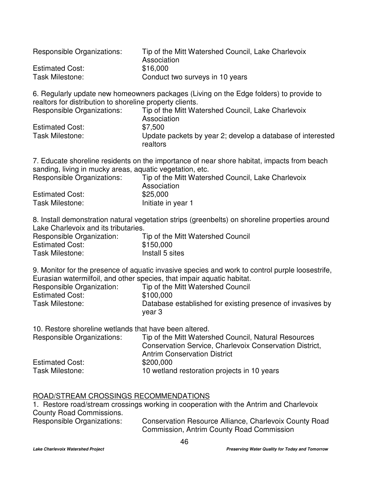| Responsible Organizations: | Tip of the Mitt Watershed Council, Lake Charlevoix<br>Association |
|----------------------------|-------------------------------------------------------------------|
| <b>Estimated Cost:</b>     | \$16,000                                                          |
| <b>Task Milestone:</b>     | Conduct two surveys in 10 years                                   |

6. Regularly update new homeowners packages (Living on the Edge folders) to provide to realtors for distribution to shoreline property clients.

| Tip of the Mitt Watershed Council, Lake Charlevoix                     |
|------------------------------------------------------------------------|
| Association                                                            |
| \$7.500                                                                |
| Update packets by year 2; develop a database of interested<br>realtors |
|                                                                        |

7. Educate shoreline residents on the importance of near shore habitat, impacts from beach sanding, living in mucky areas, aquatic vegetation, etc.

| Responsible Organizations: | Tip of the Mitt Watershed Council, Lake Charlevoix |
|----------------------------|----------------------------------------------------|
|                            | Association                                        |
| <b>Estimated Cost:</b>     | \$25,000                                           |
| Task Milestone:            | Initiate in year 1                                 |
|                            |                                                    |

8. Install demonstration natural vegetation strips (greenbelts) on shoreline properties around Lake Charlevoix and its tributaries.

| Responsible Organization: | Tip of the Mitt Watershed Council |
|---------------------------|-----------------------------------|
| <b>Estimated Cost:</b>    | \$150,000                         |
| <b>Task Milestone:</b>    | Install 5 sites                   |

9. Monitor for the presence of aquatic invasive species and work to control purple loosestrife, Eurasian watermilfoil, and other species, that impair aquatic habitat.

| Responsible Organization: | Tip of the Mitt Watershed Council                                    |
|---------------------------|----------------------------------------------------------------------|
| <b>Estimated Cost:</b>    | \$100,000                                                            |
| Task Milestone:           | Database established for existing presence of invasives by<br>vear 3 |

10. Restore shoreline wetlands that have been altered. Responsible Organizations: Tip of the Mitt Watershed Council, Natural Resources Conservation Service, Charlevoix Conservation District, Antrim Conservation District Estimated Cost: \$200,000<br>Task Milestone: \$10 wetlano 10 wetland restoration projects in 10 years

# ROAD/STREAM CROSSINGS RECOMMENDATIONS

1. Restore road/stream crossings working in cooperation with the Antrim and Charlevoix County Road Commissions.

Responsible Organizations: Conservation Resource Alliance, Charlevoix County Road Commission, Antrim County Road Commission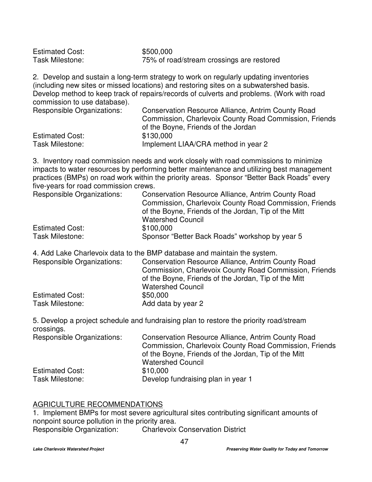| <b>Estimated Cost:</b> | \$500,000                                 |  |
|------------------------|-------------------------------------------|--|
| Task Milestone:        | 75% of road/stream crossings are restored |  |
|                        |                                           |  |

2. Develop and sustain a long-term strategy to work on regularly updating inventories (including new sites or missed locations) and restoring sites on a subwatershed basis. Develop method to keep track of repairs/records of culverts and problems. (Work with road commission to use database).

| Responsible Organizations: | Conservation Resource Alliance, Antrim County Road     |
|----------------------------|--------------------------------------------------------|
|                            | Commission, Charlevoix County Road Commission, Friends |
|                            | of the Boyne, Friends of the Jordan                    |
| <b>Estimated Cost:</b>     | \$130,000                                              |
| Task Milestone:            | Implement LIAA/CRA method in year 2                    |

3. Inventory road commission needs and work closely with road commissions to minimize impacts to water resources by performing better maintenance and utilizing best management practices (BMPs) on road work within the priority areas. Sponsor "Better Back Roads" every five-years for road commission crews.

| <b>Responsible Organizations:</b> | <b>Conservation Resource Alliance, Antrim County Road</b> |
|-----------------------------------|-----------------------------------------------------------|
|                                   | Commission, Charlevoix County Road Commission, Friends    |
|                                   | of the Boyne, Friends of the Jordan, Tip of the Mitt      |
|                                   | <b>Watershed Council</b>                                  |
| <b>Estimated Cost:</b>            | \$100,000                                                 |
| Task Milestone:                   | Sponsor "Better Back Roads" workshop by year 5            |

4. Add Lake Charlevoix data to the BMP database and maintain the system.

| <b>Responsible Organizations:</b>         | Conservation Resource Alliance, Antrim County Road<br>Commission, Charlevoix County Road Commission, Friends<br>of the Boyne, Friends of the Jordan, Tip of the Mitt |
|-------------------------------------------|----------------------------------------------------------------------------------------------------------------------------------------------------------------------|
| <b>Estimated Cost:</b><br>Task Milestone: | <b>Watershed Council</b><br>\$50,000<br>Add data by year 2                                                                                                           |

5. Develop a project schedule and fundraising plan to restore the priority road/stream crossings.

| Conservation Resource Alliance, Antrim County Road     |
|--------------------------------------------------------|
| Commission, Charlevoix County Road Commission, Friends |
| of the Boyne, Friends of the Jordan, Tip of the Mitt   |
| <b>Watershed Council</b>                               |
| \$10,000                                               |
| Develop fundraising plan in year 1                     |
|                                                        |

# AGRICULTURE RECOMMENDATIONS

1. Implement BMPs for most severe agricultural sites contributing significant amounts of nonpoint source pollution in the priority area.

Responsible Organization: Charlevoix Conservation District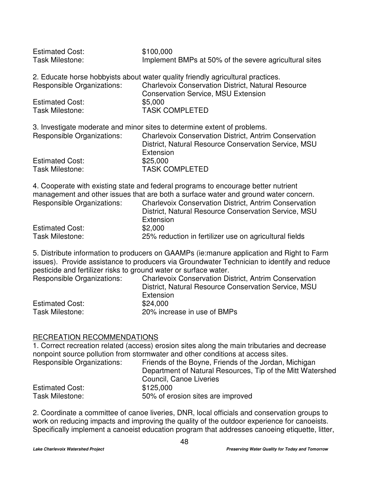| <b>Estimated Cost:</b><br><b>Task Milestone:</b> | \$100,000<br>Implement BMPs at 50% of the severe agricultural sites                                                                                                                        |
|--------------------------------------------------|--------------------------------------------------------------------------------------------------------------------------------------------------------------------------------------------|
| <b>Responsible Organizations:</b>                | 2. Educate horse hobbyists about water quality friendly agricultural practices.<br><b>Charlevoix Conservation District, Natural Resource</b><br><b>Conservation Service, MSU Extension</b> |
| <b>Estimated Cost:</b>                           | \$5,000                                                                                                                                                                                    |
| <b>Task Milestone:</b>                           | <b>TASK COMPLETED</b>                                                                                                                                                                      |
|                                                  | 3. Investigate moderate and minor sites to determine extent of problems.                                                                                                                   |
| <b>Responsible Organizations:</b>                | <b>Charlevoix Conservation District, Antrim Conservation</b><br>District, Natural Resource Conservation Service, MSU<br>Extension                                                          |
| <b>Estimated Cost:</b>                           | \$25,000                                                                                                                                                                                   |
| <b>Task Milestone:</b>                           | <b>TASK COMPLETED</b>                                                                                                                                                                      |

4. Cooperate with existing state and federal programs to encourage better nutrient management and other issues that are both a surface water and ground water concern. Responsible Organizations: Charlevoix Conservation District, Antrim Conservation District, Natural Resource Conservation Service, MSU

|                        | Extension                                              |
|------------------------|--------------------------------------------------------|
| <b>Estimated Cost:</b> | \$2,000                                                |
| Task Milestone:        | 25% reduction in fertilizer use on agricultural fields |

5. Distribute information to producers on GAAMPs (ie:manure application and Right to Farm issues). Provide assistance to producers via Groundwater Technician to identify and reduce pesticide and fertilizer risks to ground water or surface water.

| <b>Responsible Organizations:</b> | <b>Charlevoix Conservation District, Antrim Conservation</b> |
|-----------------------------------|--------------------------------------------------------------|
|                                   | District, Natural Resource Conservation Service, MSU         |
|                                   | Extension                                                    |
| <b>Estimated Cost:</b>            | \$24,000                                                     |
| <b>Task Milestone:</b>            | 20% increase in use of BMPs                                  |

# RECREATION RECOMMENDATIONS

1. Correct recreation related (access) erosion sites along the main tributaries and decrease nonpoint source pollution from stormwater and other conditions at access sites.

| Responsible Organizations: | Friends of the Boyne, Friends of the Jordan, Michigan      |
|----------------------------|------------------------------------------------------------|
|                            | Department of Natural Resources, Tip of the Mitt Watershed |
|                            | Council, Canoe Liveries                                    |
| <b>Estimated Cost:</b>     | \$125,000                                                  |
| Task Milestone:            | 50% of erosion sites are improved                          |

2. Coordinate a committee of canoe liveries, DNR, local officials and conservation groups to work on reducing impacts and improving the quality of the outdoor experience for canoeists. Specifically implement a canoeist education program that addresses canoeing etiquette, litter,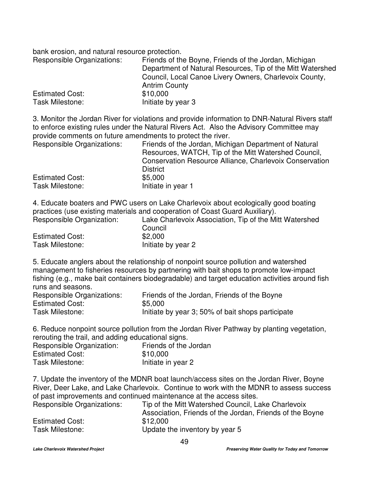bank erosion, and natural resource protection.

| Responsible Organizations: | Friends of the Boyne, Friends of the Jordan, Michigan      |
|----------------------------|------------------------------------------------------------|
|                            | Department of Natural Resources, Tip of the Mitt Watershed |
|                            | Council, Local Canoe Livery Owners, Charlevoix County,     |
|                            | <b>Antrim County</b>                                       |
| <b>Estimated Cost:</b>     | \$10,000                                                   |
| Task Milestone:            | Initiate by year 3                                         |

3. Monitor the Jordan River for violations and provide information to DNR-Natural Rivers staff to enforce existing rules under the Natural Rivers Act. Also the Advisory Committee may provide comments on future amendments to protect the river.

| Responsible Organizations: | Friends of the Jordan, Michigan Department of Natural<br>Resources, WATCH, Tip of the Mitt Watershed Council, |
|----------------------------|---------------------------------------------------------------------------------------------------------------|
|                            | <b>Conservation Resource Alliance, Charlevoix Conservation</b>                                                |
|                            | <b>District</b>                                                                                               |
| <b>Estimated Cost:</b>     | \$5,000                                                                                                       |
| Task Milestone:            | Initiate in year 1                                                                                            |

4. Educate boaters and PWC users on Lake Charlevoix about ecologically good boating practices (use existing materials and cooperation of Coast Guard Auxiliary).

| Responsible Organization: | Lake Charlevoix Association, Tip of the Mitt Watershed |
|---------------------------|--------------------------------------------------------|
|                           | Council                                                |
| <b>Estimated Cost:</b>    | \$2.000                                                |
| Task Milestone:           | Initiate by year 2                                     |

5. Educate anglers about the relationship of nonpoint source pollution and watershed management to fisheries resources by partnering with bait shops to promote low-impact fishing (e.g., make bait containers biodegradable) and target education activities around fish runs and seasons.

| Responsible Organizations: | Friends of the Jordan, Friends of the Boyne       |
|----------------------------|---------------------------------------------------|
| <b>Estimated Cost:</b>     | \$5,000                                           |
| Task Milestone:            | Initiate by year 3; 50% of bait shops participate |

6. Reduce nonpoint source pollution from the Jordan River Pathway by planting vegetation, rerouting the trail, and adding educational signs.

| Responsible Organization: | Friends of the Jordan |
|---------------------------|-----------------------|
| <b>Estimated Cost:</b>    | \$10,000              |
| <b>Task Milestone:</b>    | Initiate in year 2    |

7. Update the inventory of the MDNR boat launch/access sites on the Jordan River, Boyne River, Deer Lake, and Lake Charlevoix. Continue to work with the MDNR to assess success of past improvements and continued maintenance at the access sites.

| Responsible Organizations: | Tip of the Mitt Watershed Council, Lake Charlevoix<br>Association, Friends of the Jordan, Friends of the Boyne |
|----------------------------|----------------------------------------------------------------------------------------------------------------|
| <b>Estimated Cost:</b>     | \$12,000                                                                                                       |
| Task Milestone:            | Update the inventory by year 5                                                                                 |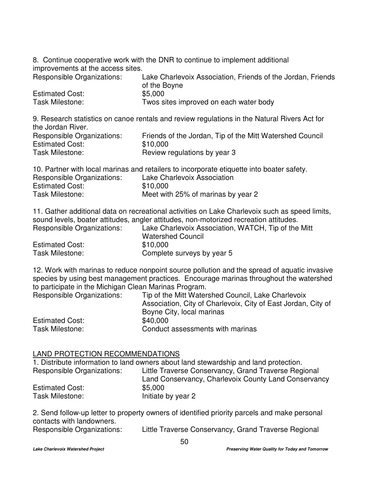8. Continue cooperative work with the DNR to continue to implement additional improvements at the access sites.

| Responsible Organizations: | Lake Charlevoix Association, Friends of the Jordan, Friends |
|----------------------------|-------------------------------------------------------------|
|                            | of the Boyne                                                |
| <b>Estimated Cost:</b>     | \$5,000                                                     |
| Task Milestone:            | Twos sites improved on each water body                      |

9. Research statistics on canoe rentals and review regulations in the Natural Rivers Act for the Jordan River. Responsible Organizations: Friends of the Jordan, Tip of the Mitt Watershed Council  $E$ stimated  $C$ est:

| ESIIMALEG COSI.        | <b>DUU.UUU</b>               |
|------------------------|------------------------------|
| <b>Task Milestone:</b> | Review regulations by year 3 |

10. Partner with local marinas and retailers to incorporate etiquette into boater safety.

| Responsible Organizations: | Lake Charlevoix Association        |
|----------------------------|------------------------------------|
| <b>Estimated Cost:</b>     | \$10,000                           |
| Task Milestone:            | Meet with 25% of marinas by year 2 |

11. Gather additional data on recreational activities on Lake Charlevoix such as speed limits, sound levels, boater attitudes, angler attitudes, non-motorized recreation attitudes. ake Charlevoix Association. WATCH, Tip of the Mitt

| Responsible Organizations: | Lake Charlevolx Association, WATCH, Tip of the N |
|----------------------------|--------------------------------------------------|
|                            | <b>Watershed Council</b>                         |
| <b>Estimated Cost:</b>     | \$10,000                                         |
| Task Milestone:            | Complete surveys by year 5                       |

12. Work with marinas to reduce nonpoint source pollution and the spread of aquatic invasive species by using best management practices. Encourage marinas throughout the watershed to participate in the Michigan Clean Marinas Program.

| Responsible Organizations: | Tip of the Mitt Watershed Council, Lake Charlevoix<br>Association, City of Charlevoix, City of East Jordan, City of<br>Boyne City, local marinas |
|----------------------------|--------------------------------------------------------------------------------------------------------------------------------------------------|
| <b>Estimated Cost:</b>     | \$40,000                                                                                                                                         |
| Task Milestone:            | Conduct assessments with marinas                                                                                                                 |

# LAND PROTECTION RECOMMENDATIONS

1. Distribute information to land owners about land stewardship and land protection. Responsible Organizations: Little Traverse Conservancy, Grand Traverse Regional Land Conservancy, Charlevoix County Land Conservancy Estimated Cost: \$5,000 Task Milestone: Initiate by year 2

2. Send follow-up letter to property owners of identified priority parcels and make personal contacts with landowners. Responsible Organizations: Little Traverse Conservancy, Grand Traverse Regional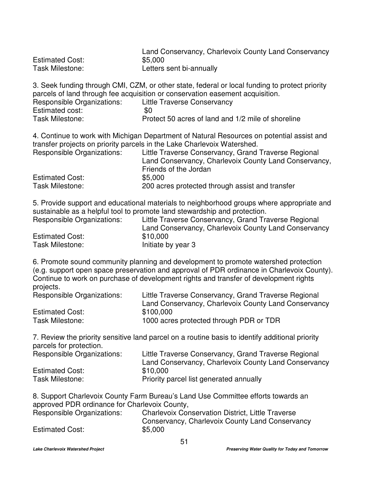|                        | Land Conservancy, Charlevoix County Land Conservancy |
|------------------------|------------------------------------------------------|
| <b>Estimated Cost:</b> | \$5,000                                              |
| Task Milestone:        | Letters sent bi-annually                             |

3. Seek funding through CMI, CZM, or other state, federal or local funding to protect priority parcels of land through fee acquisition or conservation easement acquisition. Responsible Organizations: Little Traverse Conservancy Estimated cost:  $$0$ <br>Task Milestone: Pro Protect 50 acres of land and 1/2 mile of shoreline

4. Continue to work with Michigan Department of Natural Resources on potential assist and transfer projects on priority parcels in the Lake Charlevoix Watershed.

| Responsible Organizations: | Little Traverse Conservancy, Grand Traverse Regional  |
|----------------------------|-------------------------------------------------------|
|                            | Land Conservancy, Charlevoix County Land Conservancy, |
|                            | Friends of the Jordan                                 |
| <b>Estimated Cost:</b>     | \$5,000                                               |
| Task Milestone:            | 200 acres protected through assist and transfer       |

5. Provide support and educational materials to neighborhood groups where appropriate and sustainable as a helpful tool to promote land stewardship and protection.

| Responsible Organizations: | Little Traverse Conservancy, Grand Traverse Regional |
|----------------------------|------------------------------------------------------|
|                            | Land Conservancy, Charlevoix County Land Conservancy |
| <b>Estimated Cost:</b>     | \$10,000                                             |
| <b>Task Milestone:</b>     | Initiate by year 3                                   |

6. Promote sound community planning and development to promote watershed protection (e.g. support open space preservation and approval of PDR ordinance in Charlevoix County). Continue to work on purchase of development rights and transfer of development rights projects.

| Responsible Organizations: | Little Traverse Conservancy, Grand Traverse Regional |
|----------------------------|------------------------------------------------------|
|                            | Land Conservancy, Charlevoix County Land Conservancy |
| <b>Estimated Cost:</b>     | \$100,000                                            |
| <b>Task Milestone:</b>     | 1000 acres protected through PDR or TDR              |

7. Review the priority sensitive land parcel on a routine basis to identify additional priority parcels for protection.

| <b>Responsible Organizations:</b> | Little Traverse Conservancy, Grand Traverse Regional |
|-----------------------------------|------------------------------------------------------|
|                                   | Land Conservancy, Charlevoix County Land Conservancy |
| <b>Estimated Cost:</b>            | \$10,000                                             |
| Task Milestone:                   | Priority parcel list generated annually              |

8. Support Charlevoix County Farm Bureau's Land Use Committee efforts towards an approved PDR ordinance for Charlevoix County,

| Responsible Organizations: | <b>Charlevoix Conservation District, Little Traverse</b> |
|----------------------------|----------------------------------------------------------|
|                            | Conservancy, Charlevoix County Land Conservancy          |
| <b>Estimated Cost:</b>     | \$5,000                                                  |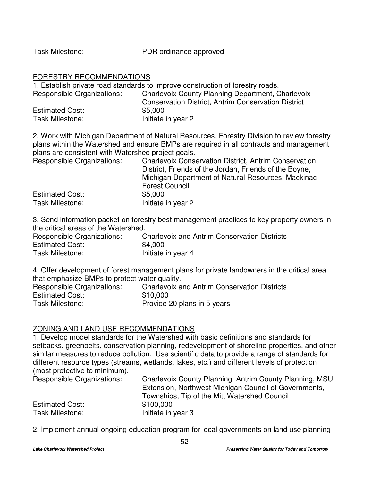Task Milestone: PDR ordinance approved

#### FORESTRY RECOMMENDATIONS

1. Establish private road standards to improve construction of forestry roads. Responsible Organizations: Charlevoix County Planning Department, Charlevoix Conservation District, Antrim Conservation District Estimated Cost: \$5,000 Task Milestone: Initiate in year 2

2. Work with Michigan Department of Natural Resources, Forestry Division to review forestry plans within the Watershed and ensure BMPs are required in all contracts and management plans are consistent with Watershed project goals.

| <b>Responsible Organizations:</b> | <b>Charlevoix Conservation District, Antrim Conservation</b> |
|-----------------------------------|--------------------------------------------------------------|
|                                   | District, Friends of the Jordan, Friends of the Boyne,       |
|                                   | Michigan Department of Natural Resources, Mackinac           |
|                                   | <b>Forest Council</b>                                        |
| <b>Estimated Cost:</b>            | \$5,000                                                      |
| Task Milestone:                   | Initiate in year 2                                           |

3. Send information packet on forestry best management practices to key property owners in the critical areas of the Watershed.

| Responsible Organizations: | <b>Charlevoix and Antrim Conservation Districts</b> |
|----------------------------|-----------------------------------------------------|
| <b>Estimated Cost:</b>     | \$4,000                                             |
| Task Milestone:            | Initiate in year 4                                  |

4. Offer development of forest management plans for private landowners in the critical area that emphasize BMPs to protect water quality.

| Responsible Organizations: | <b>Charlevoix and Antrim Conservation Districts</b> |
|----------------------------|-----------------------------------------------------|
| <b>Estimated Cost:</b>     | \$10,000                                            |
| Task Milestone:            | Provide 20 plans in 5 years                         |

# ZONING AND LAND USE RECOMMENDATIONS

1. Develop model standards for the Watershed with basic definitions and standards for setbacks, greenbelts, conservation planning, redevelopment of shoreline properties, and other similar measures to reduce pollution. Use scientific data to provide a range of standards for different resource types (streams, wetlands, lakes, etc.) and different levels of protection (most protective to minimum).

| Responsible Organizations: | Charlevoix County Planning, Antrim County Planning, MSU<br>Extension, Northwest Michigan Council of Governments, |
|----------------------------|------------------------------------------------------------------------------------------------------------------|
|                            | Townships, Tip of the Mitt Watershed Council                                                                     |
| <b>Estimated Cost:</b>     | \$100,000                                                                                                        |
| Task Milestone:            | Initiate in year 3                                                                                               |

2. Implement annual ongoing education program for local governments on land use planning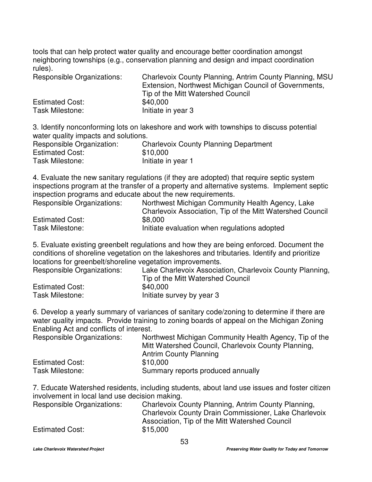tools that can help protect water quality and encourage better coordination amongst neighboring townships (e.g., conservation planning and design and impact coordination rules).

| Responsible Organizations: | Charlevoix County Planning, Antrim County Planning, MSU |
|----------------------------|---------------------------------------------------------|
|                            | Extension, Northwest Michigan Council of Governments,   |
|                            | Tip of the Mitt Watershed Council                       |
| <b>Estimated Cost:</b>     | \$40,000                                                |
| Task Milestone:            | Initiate in year 3                                      |

3. Identify nonconforming lots on lakeshore and work with townships to discuss potential water quality impacts and solutions.

| Responsible Organization: | <b>Charlevoix County Planning Department</b> |
|---------------------------|----------------------------------------------|
|                           |                                              |
| <b>Estimated Cost:</b>    | \$10,000                                     |
| Task Milestone:           | Initiate in year 1                           |

4. Evaluate the new sanitary regulations (if they are adopted) that require septic system inspections program at the transfer of a property and alternative systems. Implement septic inspection programs and educate about the new requirements.

| Responsible Organizations: | Northwest Michigan Community Health Agency, Lake          |
|----------------------------|-----------------------------------------------------------|
|                            | Charlevoix Association, Tip of the Mitt Watershed Council |
| <b>Estimated Cost:</b>     | \$8,000                                                   |
| Task Milestone:            | Initiate evaluation when regulations adopted              |

5. Evaluate existing greenbelt regulations and how they are being enforced. Document the conditions of shoreline vegetation on the lakeshores and tributaries. Identify and prioritize locations for greenbelt/shoreline vegetation improvements.

| Responsible Organizations: | Lake Charlevoix Association, Charlevoix County Planning, |
|----------------------------|----------------------------------------------------------|
|                            | Tip of the Mitt Watershed Council                        |
| <b>Estimated Cost:</b>     | \$40,000                                                 |
| Task Milestone:            | Initiate survey by year 3                                |

6. Develop a yearly summary of variances of sanitary code/zoning to determine if there are water quality impacts. Provide training to zoning boards of appeal on the Michigan Zoning Enabling Act and conflicts of interest.

| Responsible Organizations: | Northwest Michigan Community Health Agency, Tip of the<br>Mitt Watershed Council, Charlevoix County Planning,<br><b>Antrim County Planning</b> |
|----------------------------|------------------------------------------------------------------------------------------------------------------------------------------------|
| <b>Estimated Cost:</b>     | \$10,000                                                                                                                                       |
| Task Milestone:            | Summary reports produced annually                                                                                                              |

7. Educate Watershed residents, including students, about land use issues and foster citizen involvement in local land use decision making.

| Responsible Organizations: | Charlevoix County Planning, Antrim County Planning,   |
|----------------------------|-------------------------------------------------------|
|                            | Charlevoix County Drain Commissioner, Lake Charlevoix |
|                            | Association, Tip of the Mitt Watershed Council        |
| <b>Estimated Cost:</b>     | \$15,000                                              |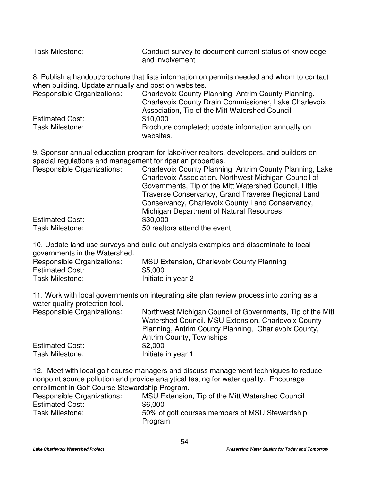| <b>Task Milestone:</b>                               | Conduct survey to document current status of knowledge<br>and involvement                  |
|------------------------------------------------------|--------------------------------------------------------------------------------------------|
|                                                      | 8. Publish a handout/brochure that lists information on permits needed and whom to contact |
| when building. Update annually and post on websites. |                                                                                            |
| Responsible Organizations:                           | Charlevoix County Planning, Antrim County Planning,                                        |
|                                                      | Charlevoix County Drain Commissioner, Lake Charlevoix                                      |
|                                                      | Association, Tip of the Mitt Watershed Council                                             |
| <b>Estimated Cost:</b>                               | \$10,000                                                                                   |
|                                                      | .                                                                                          |

Task Milestone: Brochure completed; update information annually on websites.

9. Sponsor annual education program for lake/river realtors, developers, and builders on special regulations and management for riparian properties.

| Charlevoix County Planning, Antrim County Planning, Lake |
|----------------------------------------------------------|
|                                                          |
| Charlevoix Association, Northwest Michigan Council of    |
| Governments, Tip of the Mitt Watershed Council, Little   |
| Traverse Conservancy, Grand Traverse Regional Land       |
| Conservancy, Charlevoix County Land Conservancy,         |
|                                                          |
|                                                          |
|                                                          |
|                                                          |

10. Update land use surveys and build out analysis examples and disseminate to local governments in the Watershed.

| Responsible Organizations: | MSU Extension, Charlevoix County Planning |
|----------------------------|-------------------------------------------|
| <b>Estimated Cost:</b>     | \$5,000                                   |
| Task Milestone:            | Initiate in year 2                        |

11. Work with local governments on integrating site plan review process into zoning as a water quality protection tool.

| <b>Responsible Organizations:</b> | Northwest Michigan Council of Governments, Tip of the Mitt<br>Watershed Council, MSU Extension, Charlevoix County |
|-----------------------------------|-------------------------------------------------------------------------------------------------------------------|
|                                   | Planning, Antrim County Planning, Charlevoix County,<br><b>Antrim County, Townships</b>                           |
| <b>Estimated Cost:</b>            | \$2,000                                                                                                           |
| Task Milestone:                   | Initiate in year 1                                                                                                |

12. Meet with local golf course managers and discuss management techniques to reduce nonpoint source pollution and provide analytical testing for water quality. Encourage enrollment in Golf Course Stewardship Program.

| Responsible Organizations: | MSU Extension, Tip of the Mitt Watershed Council          |
|----------------------------|-----------------------------------------------------------|
| <b>Estimated Cost:</b>     | \$6,000                                                   |
| Task Milestone:            | 50% of golf courses members of MSU Stewardship<br>Program |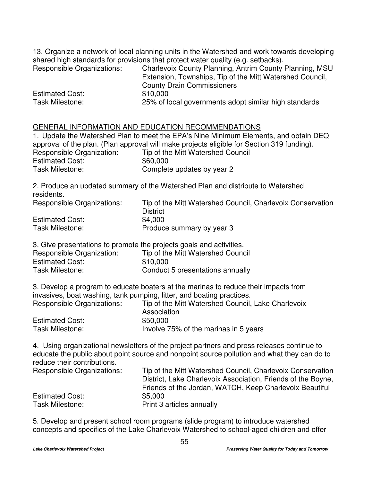13. Organize a network of local planning units in the Watershed and work towards developing shared high standards for provisions that protect water quality (e.g. setbacks).

| Responsible Organizations: | Charlevoix County Planning, Antrim County Planning, MSU  |
|----------------------------|----------------------------------------------------------|
|                            | Extension, Townships, Tip of the Mitt Watershed Council, |
|                            | <b>County Drain Commissioners</b>                        |
| <b>Estimated Cost:</b>     | \$10,000                                                 |
| <b>Task Milestone:</b>     | 25% of local governments adopt similar high standards    |

# GENERAL INFORMATION AND EDUCATION RECOMMENDATIONS

|                                                                                            | 1. Update the Watershed Plan to meet the EPA's Nine Minimum Elements, and obtain DEQ |  |
|--------------------------------------------------------------------------------------------|--------------------------------------------------------------------------------------|--|
| approval of the plan. (Plan approval will make projects eligible for Section 319 funding). |                                                                                      |  |
| Responsible Organization:                                                                  | Tip of the Mitt Watershed Council                                                    |  |
| <b>Estimated Cost:</b>                                                                     | \$60,000                                                                             |  |
| Task Milestone:                                                                            | Complete updates by year 2                                                           |  |

2. Produce an updated summary of the Watershed Plan and distribute to Watershed residents.

| Responsible Organizations: | Tip of the Mitt Watershed Council, Charlevoix Conservation<br><b>District</b> |
|----------------------------|-------------------------------------------------------------------------------|
| <b>Estimated Cost:</b>     | \$4.000                                                                       |
| Task Milestone:            | Produce summary by year 3                                                     |

3. Give presentations to promote the projects goals and activities.

| Responsible Organization: | Tip of the Mitt Watershed Council |
|---------------------------|-----------------------------------|
| <b>Estimated Cost:</b>    | \$10,000                          |
| Task Milestone:           | Conduct 5 presentations annually  |

3. Develop a program to educate boaters at the marinas to reduce their impacts from invasives, boat washing, tank pumping, litter, and boating practices.

| Responsible Organizations: | Tip of the Mitt Watershed Council, Lake Charlevoix |
|----------------------------|----------------------------------------------------|
|                            | Association                                        |
| <b>Estimated Cost:</b>     | \$50,000                                           |
| Task Milestone:            | Involve 75% of the marinas in 5 years              |

4. Using organizational newsletters of the project partners and press releases continue to educate the public about point source and nonpoint source pollution and what they can do to reduce their contributions.

| Tip of the Mitt Watershed Council, Charlevoix Conservation   |
|--------------------------------------------------------------|
| District, Lake Charlevoix Association, Friends of the Boyne, |
| Friends of the Jordan, WATCH, Keep Charlevoix Beautiful      |
| \$5,000                                                      |
| Print 3 articles annually                                    |
|                                                              |

5. Develop and present school room programs (slide program) to introduce watershed concepts and specifics of the Lake Charlevoix Watershed to school-aged children and offer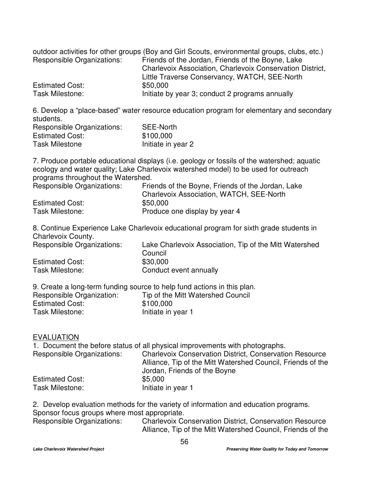|                            | outdoor activities for other groups (Boy and Girl Scouts, environmental groups, clubs, etc.) |
|----------------------------|----------------------------------------------------------------------------------------------|
| Responsible Organizations: | Friends of the Jordan, Friends of the Boyne, Lake                                            |
|                            | Charlevoix Association, Charlevoix Conservation District,                                    |
|                            | Little Traverse Conservancy, WATCH, SEE-North                                                |
| <b>Estimated Cost:</b>     | \$50,000                                                                                     |
| Task Milestone:            | Initiate by year 3; conduct 2 programs annually                                              |

6. Develop a "place-based" water resource education program for elementary and secondary students. Responsible Organizations: SEE-North

| <b>Responsible Organizations:</b> | SEE-North          |
|-----------------------------------|--------------------|
| <b>Estimated Cost:</b>            | \$100,000          |
| <b>Task Milestone</b>             | Initiate in year 2 |

7. Produce portable educational displays (i.e. geology or fossils of the watershed; aquatic ecology and water quality; Lake Charlevoix watershed model) to be used for outreach programs throughout the Watershed.

| <b>Responsible Organizations:</b> | Friends of the Boyne, Friends of the Jordan, Lake |
|-----------------------------------|---------------------------------------------------|
|                                   | Charlevoix Association, WATCH, SEE-North          |
| <b>Estimated Cost:</b>            | \$50,000                                          |
| Task Milestone:                   | Produce one display by year 4                     |

8. Continue Experience Lake Charlevoix educational program for sixth grade students in Charlevoix County.

| Responsible Organizations: | Lake Charlevoix Association, Tip of the Mitt Watershed |
|----------------------------|--------------------------------------------------------|
|                            | Council                                                |
| <b>Estimated Cost:</b>     | \$30,000                                               |
| Task Milestone:            | Conduct event annually                                 |

|                           | 9. Create a long-term funding source to help fund actions in this plan. |
|---------------------------|-------------------------------------------------------------------------|
| Responsible Organization: | Tip of the Mitt Watershed Council                                       |
| <b>Estimated Cost:</b>    | \$100,000                                                               |
| Task Milestone:           | Initiate in year 1                                                      |

#### EVALUATION

1. Document the before status of all physical improvements with photographs. Responsible Organizations: Charlevoix Conservation District, Conservation Resource Alliance, Tip of the Mitt Watershed Council, Friends of the Jordan, Friends of the Boyne Estimated Cost: \$5,000 Task Milestone: Initiate in year 1

2. Develop evaluation methods for the variety of information and education programs. Sponsor focus groups where most appropriate.

Responsible Organizations: Charlevoix Conservation District, Conservation Resource Alliance, Tip of the Mitt Watershed Council, Friends of the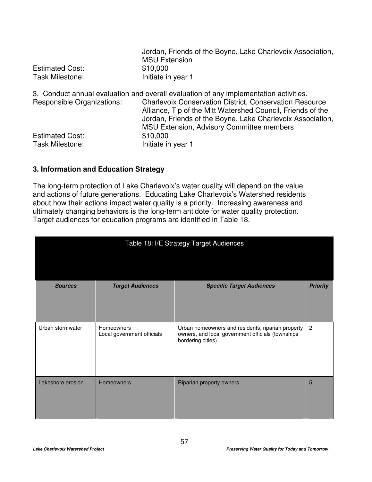| Jordan, Friends of the Boyne, Lake Charlevoix Association, |
|------------------------------------------------------------|
| <b>MSU Extension</b>                                       |
| \$10,000                                                   |
| Initiate in year 1                                         |
|                                                            |

|                            | 3. Conduct annual evaluation and overall evaluation of any implementation activities. |
|----------------------------|---------------------------------------------------------------------------------------|
| Responsible Organizations: | <b>Charlevoix Conservation District, Conservation Resource</b>                        |
|                            | Alliance, Tip of the Mitt Watershed Council, Friends of the                           |
|                            | Jordan, Friends of the Boyne, Lake Charlevoix Association,                            |
|                            | <b>MSU Extension, Advisory Committee members</b>                                      |
| <b>Estimated Cost:</b>     | \$10,000                                                                              |
| Task Milestone:            | Initiate in year 1                                                                    |
|                            |                                                                                       |

# **3. Information and Education Strategy**

The long-term protection of Lake Charlevoix's water quality will depend on the value and actions of future generations. Educating Lake Charlevoix's Watershed residents about how their actions impact water quality is a priority. Increasing awareness and ultimately changing behaviors is the long-term antidote for water quality protection. Target audiences for education programs are identified in Table 18.

| Table 18: I/E Strategy Target Audiences |                                          |                                                                                                                             |                 |
|-----------------------------------------|------------------------------------------|-----------------------------------------------------------------------------------------------------------------------------|-----------------|
| <b>Sources</b>                          | <b>Target Audiences</b>                  | <b>Specific Target Audiences</b>                                                                                            | <b>Priority</b> |
| Urban stormwater                        | Homeowners<br>Local government officials | Urban homeowners and residents, riparian property<br>owners, and local government officials (townships<br>bordering cities) | $\overline{2}$  |
| Lakeshore erosion                       | <b>Homeowners</b>                        | Riparian property owners                                                                                                    | 5               |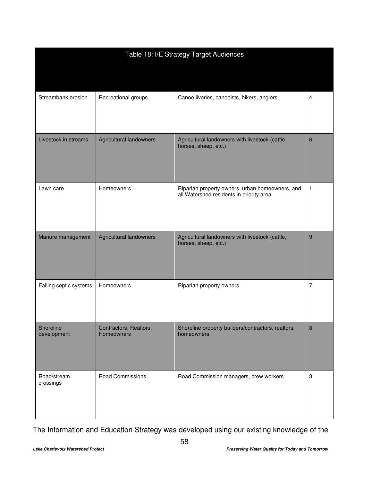| Table 18: I/E Strategy Target Audiences |                                             |                                                                                             |   |
|-----------------------------------------|---------------------------------------------|---------------------------------------------------------------------------------------------|---|
|                                         |                                             |                                                                                             |   |
| Streambank erosion                      | Recreational groups                         | Canoe liveries, canoeists, hikers, anglers                                                  | 4 |
| Livestock in streams                    | <b>Agricultural landowners</b>              | Agricultural landowners with livestock (cattle,<br>horses, sheep, etc.)                     | 6 |
| Lawn care                               | Homeowners                                  | Riparian property owners, urban homeowners, and<br>all Watershed residents in priority area | 1 |
| Manure management                       | <b>Agricultural landowners</b>              | Agricultural landowners with livestock (cattle,<br>horses, sheep, etc.)                     | 9 |
| Failing septic systems                  | Homeowners                                  | Riparian property owners                                                                    | 7 |
| Shoreline<br>development                | Contractors, Realtors,<br><b>Homeowners</b> | Shoreline property builders/contractors, realtors,<br>homeowners                            | 8 |
| Road/stream<br>crossings                | <b>Road Commissions</b>                     | Road Commission managers, crew workers                                                      | 3 |

The Information and Education Strategy was developed using our existing knowledge of the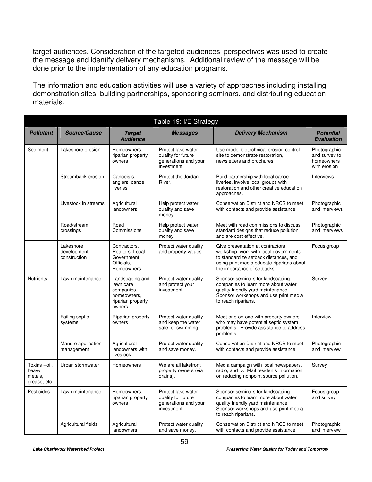target audiences. Consideration of the targeted audiences' perspectives was used to create the message and identify delivery mechanisms. Additional review of the message will be done prior to the implementation of any education programs.

The information and education activities will use a variety of approaches including installing demonstration sites, building partnerships, sponsoring seminars, and distributing education materials.

| Table 19: I/E Strategy                            |                                           |                                                                                          |                                                                                 |                                                                                                                                                                                                |                                                             |  |  |
|---------------------------------------------------|-------------------------------------------|------------------------------------------------------------------------------------------|---------------------------------------------------------------------------------|------------------------------------------------------------------------------------------------------------------------------------------------------------------------------------------------|-------------------------------------------------------------|--|--|
| <b>Pollutant</b>                                  | Source/Cause                              | <b>Target</b><br><b>Audience</b>                                                         | <b>Messages</b>                                                                 | <b>Delivery Mechanism</b>                                                                                                                                                                      | <b>Potential</b><br><b>Evaluation</b>                       |  |  |
| Sediment                                          | Lakeshore erosion                         | Homeowners,<br>riparian property<br>owners                                               | Protect lake water<br>quality for future<br>generations and your<br>investment. | Use model biotechnical erosion control<br>site to demonstrate restoration,<br>newsletters and brochures.                                                                                       | Photographic<br>and survey to<br>homeowners<br>with erosion |  |  |
|                                                   | Streambank erosion                        | Canoeists.<br>anglers, canoe<br>liveries                                                 | Protect the Jordan<br>River.                                                    | Build partnership with local canoe<br>liveries, involve local groups with<br>restoration and other creative education<br>approaches.                                                           | Interviews                                                  |  |  |
|                                                   | Livestock in streams                      | Agricultural<br>landowners                                                               | Help protect water<br>quality and save<br>money.                                | Conservation District and NRCS to meet<br>with contacts and provide assistance.                                                                                                                | Photographic<br>and interviews                              |  |  |
|                                                   | Road/stream<br>crossings                  | Road<br>Commissions                                                                      | Help protect water<br>quality and save<br>money.                                | Meet with road commissions to discuss<br>standard designs that reduce pollution<br>and are cost effective.                                                                                     | Photographic<br>and interviews                              |  |  |
|                                                   | Lakeshore<br>development-<br>construction | Contractors,<br>Realtors, Local<br>Government<br>Officials.<br>Homeowners                | Protect water quality<br>and property values.                                   | Give presentation at contractors<br>workshop, work with local governments<br>to standardize setback distances, and<br>using print media educate riparians about<br>the importance of setbacks. | Focus group                                                 |  |  |
| <b>Nutrients</b>                                  | Lawn maintenance                          | Landscaping and<br>lawn care<br>companies,<br>homeowners,<br>riparian property<br>owners | Protect water quality<br>and protect your<br>investment.                        | Sponsor seminars for landscaping<br>companies to learn more about water<br>quality friendly yard maintenance.<br>Sponsor workshops and use print media<br>to reach riparians.                  | Survey                                                      |  |  |
|                                                   | Failing septic<br>systems                 | Riparian property<br>owners                                                              | Protect water quality<br>and keep the water<br>safe for swimming.               | Meet one-on-one with property owners<br>who may have potential septic system<br>problems. Provide assistance to address<br>problems.                                                           | Interview                                                   |  |  |
|                                                   | Manure application<br>management          | Agricultural<br>landowners with<br>livestock                                             | Protect water quality<br>and save money.                                        | Conservation District and NRCS to meet<br>with contacts and provide assistance.                                                                                                                | Photographic<br>and interview                               |  |  |
| Toxins --oil,<br>heavy<br>metals.<br>grease, etc. | Urban stormwater                          | Homeowners                                                                               | We are all lakefront<br>property owners (via<br>drains).                        | Media campaign with local newspapers,<br>radio, and tv. Mail residents information<br>on reducing nonpoint source pollution.                                                                   | Survey                                                      |  |  |
| Pesticides                                        | Lawn maintenance                          | Homeowners,<br>riparian property<br>owners                                               | Protect lake water<br>quality for future<br>generations and your<br>investment. | Sponsor seminars for landscaping<br>companies to learn more about water<br>quality friendly yard maintenance.<br>Sponsor workshops and use print media<br>to reach riparians.                  | Focus group<br>and survey                                   |  |  |
|                                                   | Agricultural fields                       | Agricultural<br>landowners                                                               | Protect water quality<br>and save money.                                        | Conservation District and NRCS to meet<br>with contacts and provide assistance.                                                                                                                | Photographic<br>and interview                               |  |  |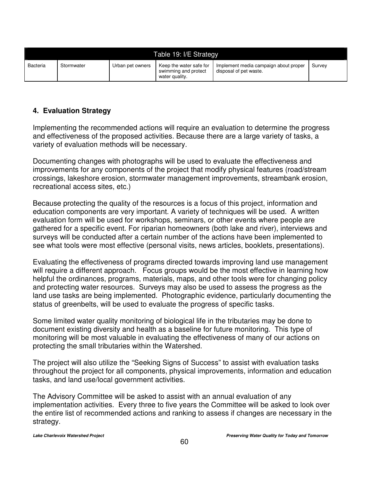| Table 19: I/E Strategy |            |                  |                                                                   |                                                                 |        |  |
|------------------------|------------|------------------|-------------------------------------------------------------------|-----------------------------------------------------------------|--------|--|
| <b>Bacteria</b>        | Stormwater | Urban pet owners | Keep the water safe for<br>swimming and protect<br>water quality. | Implement media campaign about proper<br>disposal of pet waste. | Survey |  |

# **4. Evaluation Strategy**

Implementing the recommended actions will require an evaluation to determine the progress and effectiveness of the proposed activities. Because there are a large variety of tasks, a variety of evaluation methods will be necessary.

Documenting changes with photographs will be used to evaluate the effectiveness and improvements for any components of the project that modify physical features (road/stream crossings, lakeshore erosion, stormwater management improvements, streambank erosion, recreational access sites, etc.)

Because protecting the quality of the resources is a focus of this project, information and education components are very important. A variety of techniques will be used. A written evaluation form will be used for workshops, seminars, or other events where people are gathered for a specific event. For riparian homeowners (both lake and river), interviews and surveys will be conducted after a certain number of the actions have been implemented to see what tools were most effective (personal visits, news articles, booklets, presentations).

Evaluating the effectiveness of programs directed towards improving land use management will require a different approach. Focus groups would be the most effective in learning how helpful the ordinances, programs, materials, maps, and other tools were for changing policy and protecting water resources. Surveys may also be used to assess the progress as the land use tasks are being implemented. Photographic evidence, particularly documenting the status of greenbelts, will be used to evaluate the progress of specific tasks.

Some limited water quality monitoring of biological life in the tributaries may be done to document existing diversity and health as a baseline for future monitoring. This type of monitoring will be most valuable in evaluating the effectiveness of many of our actions on protecting the small tributaries within the Watershed.

The project will also utilize the "Seeking Signs of Success" to assist with evaluation tasks throughout the project for all components, physical improvements, information and education tasks, and land use/local government activities.

The Advisory Committee will be asked to assist with an annual evaluation of any implementation activities. Every three to five years the Committee will be asked to look over the entire list of recommended actions and ranking to assess if changes are necessary in the strategy.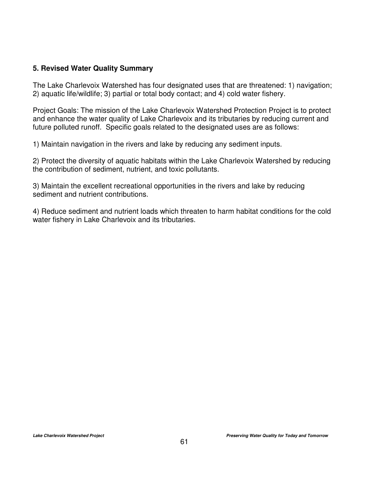# **5. Revised Water Quality Summary**

The Lake Charlevoix Watershed has four designated uses that are threatened: 1) navigation; 2) aquatic life/wildlife; 3) partial or total body contact; and 4) cold water fishery.

Project Goals: The mission of the Lake Charlevoix Watershed Protection Project is to protect and enhance the water quality of Lake Charlevoix and its tributaries by reducing current and future polluted runoff. Specific goals related to the designated uses are as follows:

1) Maintain navigation in the rivers and lake by reducing any sediment inputs.

2) Protect the diversity of aquatic habitats within the Lake Charlevoix Watershed by reducing the contribution of sediment, nutrient, and toxic pollutants.

3) Maintain the excellent recreational opportunities in the rivers and lake by reducing sediment and nutrient contributions.

4) Reduce sediment and nutrient loads which threaten to harm habitat conditions for the cold water fishery in Lake Charlevoix and its tributaries.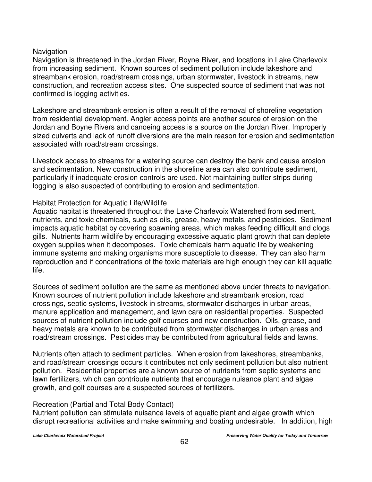# Navigation

Navigation is threatened in the Jordan River, Boyne River, and locations in Lake Charlevoix from increasing sediment. Known sources of sediment pollution include lakeshore and streambank erosion, road/stream crossings, urban stormwater, livestock in streams, new construction, and recreation access sites. One suspected source of sediment that was not confirmed is logging activities.

Lakeshore and streambank erosion is often a result of the removal of shoreline vegetation from residential development. Angler access points are another source of erosion on the Jordan and Boyne Rivers and canoeing access is a source on the Jordan River. Improperly sized culverts and lack of runoff diversions are the main reason for erosion and sedimentation associated with road/stream crossings.

Livestock access to streams for a watering source can destroy the bank and cause erosion and sedimentation. New construction in the shoreline area can also contribute sediment, particularly if inadequate erosion controls are used. Not maintaining buffer strips during logging is also suspected of contributing to erosion and sedimentation.

#### Habitat Protection for Aquatic Life/Wildlife

Aquatic habitat is threatened throughout the Lake Charlevoix Watershed from sediment, nutrients, and toxic chemicals, such as oils, grease, heavy metals, and pesticides. Sediment impacts aquatic habitat by covering spawning areas, which makes feeding difficult and clogs gills. Nutrients harm wildlife by encouraging excessive aquatic plant growth that can deplete oxygen supplies when it decomposes. Toxic chemicals harm aquatic life by weakening immune systems and making organisms more susceptible to disease. They can also harm reproduction and if concentrations of the toxic materials are high enough they can kill aquatic life.

Sources of sediment pollution are the same as mentioned above under threats to navigation. Known sources of nutrient pollution include lakeshore and streambank erosion, road crossings, septic systems, livestock in streams, stormwater discharges in urban areas, manure application and management, and lawn care on residential properties. Suspected sources of nutrient pollution include golf courses and new construction. Oils, grease, and heavy metals are known to be contributed from stormwater discharges in urban areas and road/stream crossings. Pesticides may be contributed from agricultural fields and lawns.

Nutrients often attach to sediment particles. When erosion from lakeshores, streambanks, and road/stream crossings occurs it contributes not only sediment pollution but also nutrient pollution. Residential properties are a known source of nutrients from septic systems and lawn fertilizers, which can contribute nutrients that encourage nuisance plant and algae growth, and golf courses are a suspected sources of fertilizers.

#### Recreation (Partial and Total Body Contact)

Nutrient pollution can stimulate nuisance levels of aquatic plant and algae growth which disrupt recreational activities and make swimming and boating undesirable. In addition, high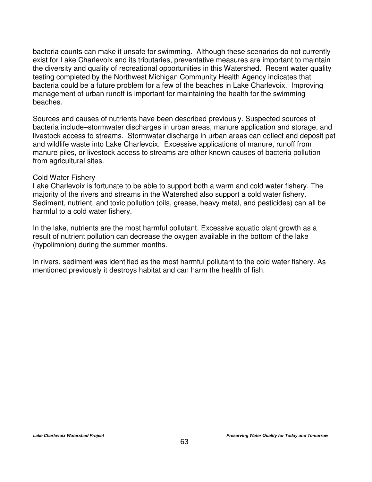bacteria counts can make it unsafe for swimming. Although these scenarios do not currently exist for Lake Charlevoix and its tributaries, preventative measures are important to maintain the diversity and quality of recreational opportunities in this Watershed. Recent water quality testing completed by the Northwest Michigan Community Health Agency indicates that bacteria could be a future problem for a few of the beaches in Lake Charlevoix. Improving management of urban runoff is important for maintaining the health for the swimming beaches.

Sources and causes of nutrients have been described previously. Suspected sources of bacteria include–stormwater discharges in urban areas, manure application and storage, and livestock access to streams. Stormwater discharge in urban areas can collect and deposit pet and wildlife waste into Lake Charlevoix. Excessive applications of manure, runoff from manure piles, or livestock access to streams are other known causes of bacteria pollution from agricultural sites.

#### Cold Water Fishery

Lake Charlevoix is fortunate to be able to support both a warm and cold water fishery. The majority of the rivers and streams in the Watershed also support a cold water fishery. Sediment, nutrient, and toxic pollution (oils, grease, heavy metal, and pesticides) can all be harmful to a cold water fishery.

In the lake, nutrients are the most harmful pollutant. Excessive aquatic plant growth as a result of nutrient pollution can decrease the oxygen available in the bottom of the lake (hypolimnion) during the summer months.

In rivers, sediment was identified as the most harmful pollutant to the cold water fishery. As mentioned previously it destroys habitat and can harm the health of fish.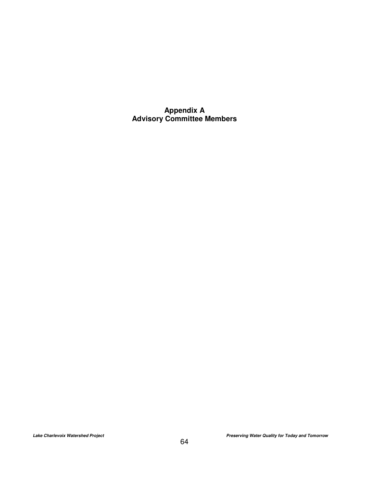**Appendix A Advisory Committee Members**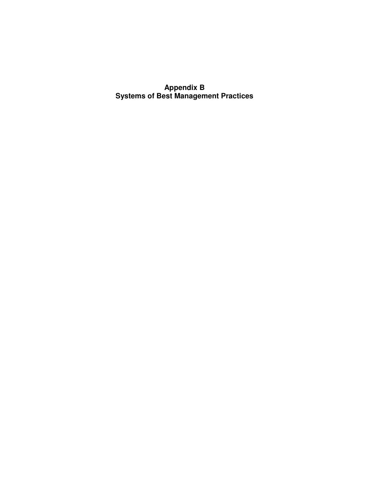**Appendix B Systems of Best Management Practices**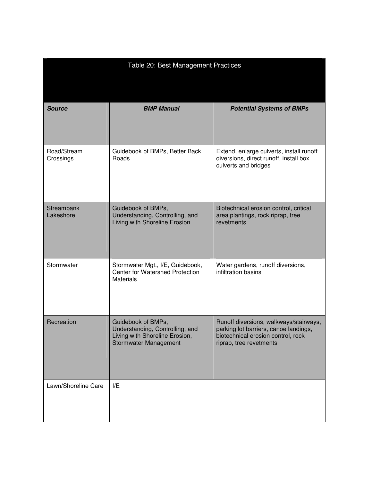| Table 20: Best Management Practices |                                                                                                                         |                                                                                                                                                  |  |  |  |  |
|-------------------------------------|-------------------------------------------------------------------------------------------------------------------------|--------------------------------------------------------------------------------------------------------------------------------------------------|--|--|--|--|
| <b>Source</b>                       | <b>BMP Manual</b>                                                                                                       | <b>Potential Systems of BMPs</b>                                                                                                                 |  |  |  |  |
| Road/Stream<br>Crossings            | Guidebook of BMPs, Better Back<br>Roads                                                                                 | Extend, enlarge culverts, install runoff<br>diversions, direct runoff, install box<br>culverts and bridges                                       |  |  |  |  |
| <b>Streambank</b><br>Lakeshore      | Guidebook of BMPs,<br>Understanding, Controlling, and<br>Living with Shoreline Erosion                                  | Biotechnical erosion control, critical<br>area plantings, rock riprap, tree<br>revetments                                                        |  |  |  |  |
| Stormwater                          | Stormwater Mgt., I/E, Guidebook,<br>Center for Watershed Protection<br><b>Materials</b>                                 | Water gardens, runoff diversions,<br>infiltration basins                                                                                         |  |  |  |  |
| Recreation                          | Guidebook of BMPs,<br>Understanding, Controlling, and<br>Living with Shoreline Erosion,<br><b>Stormwater Management</b> | Runoff diversions, walkways/stairways,<br>parking lot barriers, canoe landings,<br>biotechnical erosion control, rock<br>riprap, tree revetments |  |  |  |  |
| Lawn/Shoreline Care                 | I/E                                                                                                                     |                                                                                                                                                  |  |  |  |  |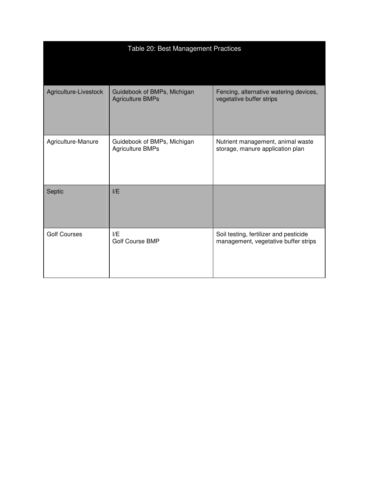| Table 20: Best Management Practices |                                                        |                                                                                |
|-------------------------------------|--------------------------------------------------------|--------------------------------------------------------------------------------|
|                                     |                                                        |                                                                                |
| Agriculture-Livestock               | Guidebook of BMPs, Michigan<br><b>Agriculture BMPs</b> | Fencing, alternative watering devices,<br>vegetative buffer strips             |
| Agriculture-Manure                  | Guidebook of BMPs, Michigan<br><b>Agriculture BMPs</b> | Nutrient management, animal waste<br>storage, manure application plan          |
| Septic                              | I/E                                                    |                                                                                |
| <b>Golf Courses</b>                 | I/E<br><b>Golf Course BMP</b>                          | Soil testing, fertilizer and pesticide<br>management, vegetative buffer strips |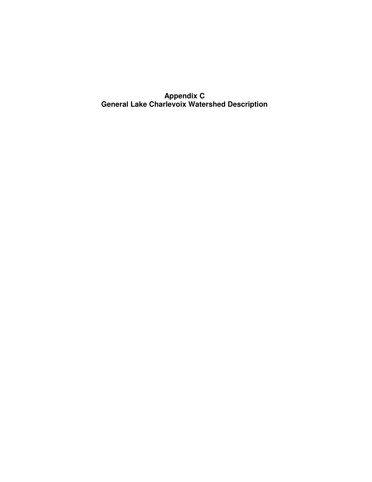**Appendix C General Lake Charlevoix Watershed Description**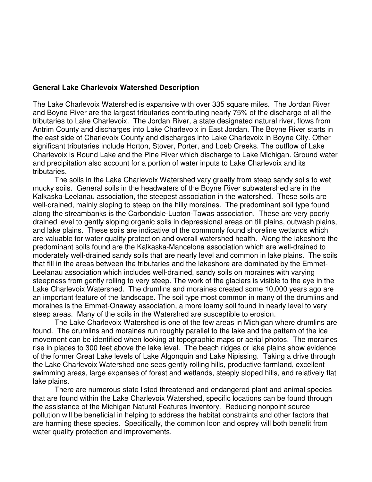## **General Lake Charlevoix Watershed Description**

The Lake Charlevoix Watershed is expansive with over 335 square miles. The Jordan River and Boyne River are the largest tributaries contributing nearly 75% of the discharge of all the tributaries to Lake Charlevoix. The Jordan River, a state designated natural river, flows from Antrim County and discharges into Lake Charlevoix in East Jordan. The Boyne River starts in the east side of Charlevoix County and discharges into Lake Charlevoix in Boyne City. Other significant tributaries include Horton, Stover, Porter, and Loeb Creeks. The outflow of Lake Charlevoix is Round Lake and the Pine River which discharge to Lake Michigan. Ground water and precipitation also account for a portion of water inputs to Lake Charlevoix and its tributaries.

The soils in the Lake Charlevoix Watershed vary greatly from steep sandy soils to wet mucky soils. General soils in the headwaters of the Boyne River subwatershed are in the Kalkaska-Leelanau association, the steepest association in the watershed. These soils are well-drained, mainly sloping to steep on the hilly moraines. The predominant soil type found along the streambanks is the Carbondale-Lupton-Tawas association. These are very poorly drained level to gently sloping organic soils in depressional areas on till plains, outwash plains, and lake plains. These soils are indicative of the commonly found shoreline wetlands which are valuable for water quality protection and overall watershed health. Along the lakeshore the predominant soils found are the Kalkaska-Mancelona association which are well-drained to moderately well-drained sandy soils that are nearly level and common in lake plains. The soils that fill in the areas between the tributaries and the lakeshore are dominated by the Emmet-Leelanau association which includes well-drained, sandy soils on moraines with varying steepness from gently rolling to very steep. The work of the glaciers is visible to the eye in the Lake Charlevoix Watershed. The drumlins and moraines created some 10,000 years ago are an important feature of the landscape. The soil type most common in many of the drumlins and moraines is the Emmet-Onaway association, a more loamy soil found in nearly level to very steep areas. Many of the soils in the Watershed are susceptible to erosion.

The Lake Charlevoix Watershed is one of the few areas in Michigan where drumlins are found. The drumlins and moraines run roughly parallel to the lake and the pattern of the ice movement can be identified when looking at topographic maps or aerial photos. The moraines rise in places to 300 feet above the lake level. The beach ridges or lake plains show evidence of the former Great Lake levels of Lake Algonquin and Lake Nipissing. Taking a drive through the Lake Charlevoix Watershed one sees gently rolling hills, productive farmland, excellent swimming areas, large expanses of forest and wetlands, steeply sloped hills, and relatively flat lake plains.

There are numerous state listed threatened and endangered plant and animal species that are found within the Lake Charlevoix Watershed, specific locations can be found through the assistance of the Michigan Natural Features Inventory. Reducing nonpoint source pollution will be beneficial in helping to address the habitat constraints and other factors that are harming these species. Specifically, the common loon and osprey will both benefit from water quality protection and improvements.